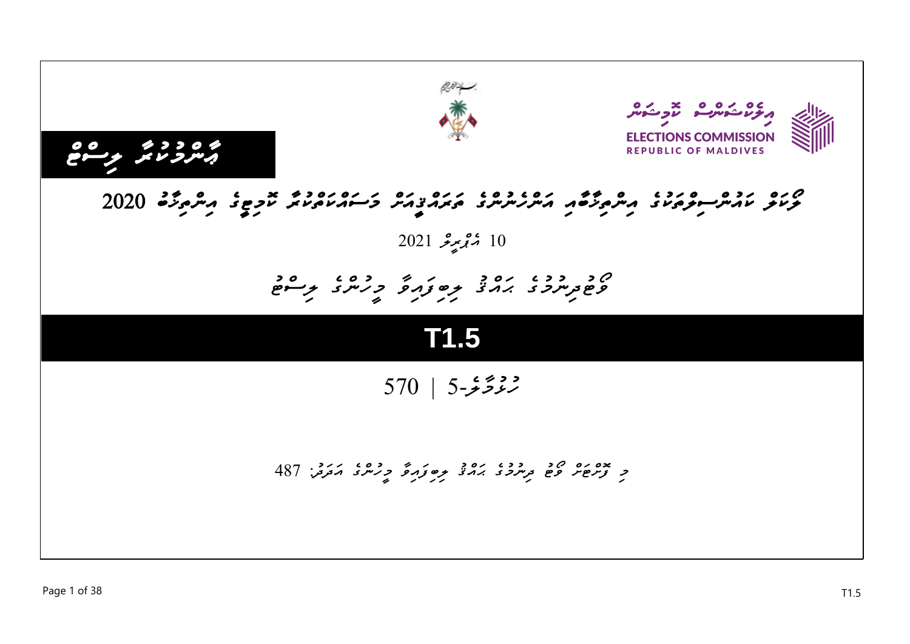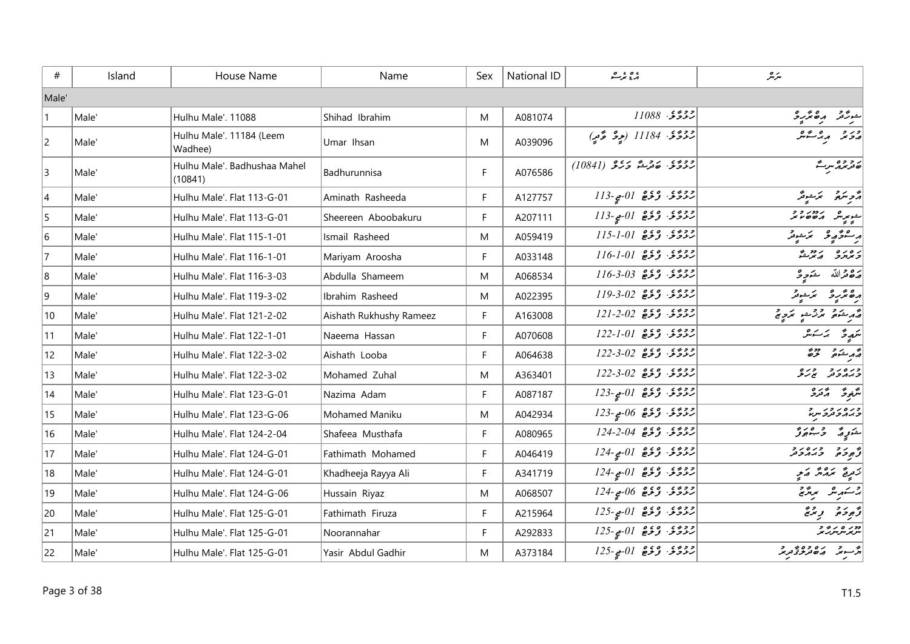| #               | Island | House Name                              | Name                    | Sex | National ID | ړه پر ه                                                    | ىئرىتر                                        |
|-----------------|--------|-----------------------------------------|-------------------------|-----|-------------|------------------------------------------------------------|-----------------------------------------------|
| Male'           |        |                                         |                         |     |             |                                                            |                                               |
|                 | Male'  | Hulhu Male'. 11088                      | Shihad Ibrahim          | M   | A081074     | 11088.5533                                                 | شور ته ده ندرد                                |
| $ 2\rangle$     | Male'  | Hulhu Male'. 11184 (Leem<br>Wadhee)     | Umar Ihsan              | M   | A039096     | رَّدْدَّنْ 11184 (مِرْدَ قَ <sup>م</sup> ْرٍ)              | ورو مد شهر                                    |
| $\vert$ 3       | Male'  | Hulhu Male'. Badhushaa Mahel<br>(10841) | <b>Badhurunnisa</b>     | F   | A076586     | $(10841)$ دَرْدَ دَرْكَةَ $(10841)$                        | ە تەرىر بۇ سرىگ                               |
| $\overline{4}$  | Male'  | Hulhu Male'. Flat 113-G-01              | Aminath Rasheeda        | F   | A127757     | $113 - 01$ وَدَوْعَ $01 - 0$                               | أزويتكم أترشوند                               |
| $\overline{5}$  | Male'  | Hulhu Male'. Flat 113-G-01              | Sheereen Aboobakuru     | F   | A207111     | $113$ -يوگو. وي هو -113-ي                                  | $\frac{1}{2}$                                 |
| $6\overline{6}$ | Male'  | Hulhu Male'. Flat 115-1-01              | Ismail Rasheed          | M   | A059419     | $115 - 1 - 01$ $253 - 552$                                 | ر جۇرپۇ ترخوتر                                |
| $\vert$ 7       | Male'  | Hulhu Male'. Flat 116-1-01              | Mariyam Aroosha         | F   | A033148     | $116 - 1 - 01$ $223 - 22$                                  | ره ره دوم<br>وبوبرو پرسر                      |
| 8               | Male'  | Hulhu Male'. Flat 116-3-03              | Abdulla Shameem         | M   | A068534     | $116 - 3 - 03$ $22$ $3 - 22$                               | رەقراللە خەرو                                 |
| $ 9\rangle$     | Male'  | Hulhu Male'. Flat 119-3-02              | Ibrahim Rasheed         | M   | A022395     | $119 - 3 - 02$ $22 - 532$                                  | رە ئۇرۇ بىي ئى                                |
| $ 10\rangle$    | Male'  | Hulhu Male'. Flat 121-2-02              | Aishath Rukhushy Rameez | F   | A163008     | $121 - 2 - 02$ وَوَصَعْ $9 - 2 - 121$                      | وأرسكني الرزمس الكرداني                       |
| 11              | Male'  | Hulhu Male'. Flat 122-1-01              | Naeema Hassan           | F   | A070608     | $122 - 1 - 01$ $22 - 32$                                   | ىتماق ئەسەس                                   |
| 12              | Male'  | Hulhu Male'. Flat 122-3-02              | Aishath Looba           | F.  | A064638     | $122 - 3 - 02$ $22 - 52$                                   | وكرشتم وده                                    |
| 13              | Male'  | Hulhu Male'. Flat 122-3-02              | Mohamed Zuhal           | M   | A363401     | $122 - 3 - 02$ وَوَصَعَ $02 - 3 - 12$                      | ورەرو ورە                                     |
| 14              | Male'  | Hulhu Male'. Flat 123-G-01              | Nazima Adam             | F   | A087187     | $123 - 01$ وَوَى $2$ $3 - 01$                              | سَّمْوِدَّ أَرْتَزَرَّ                        |
| 15              | Male'  | Hulhu Male'. Flat 123-G-06              | Mohamed Maniku          | M   | A042934     | $123 - 06$ وَكَرَى $6$ -بِي-123                            | כ מם מיכימית ב<br>המה בינקים ייקול            |
| 16              | Male'  | Hulhu Male'. Flat 124-2-04              | Shafeea Musthafa        | F.  | A080965     | $124 - 2 - 04$ $253 - 2$                                   | شرورة وسيور                                   |
| 17              | Male'  | Hulhu Male'. Flat 124-G-01              | Fathimath Mohamed       | F   | A046419     | $124 - 01$ وَوَى $24 - 124$                                | و ده دره در                                   |
| 18              | Male'  | Hulhu Male'. Flat 124-G-01              | Khadheeja Rayya Ali     | F   | A341719     | $124 - 01$ وَوَى $24 - 124$                                | ترىرىق بىرە بۇ كەير                           |
| 19              | Male'  | Hulhu Male'. Flat 124-G-06              | Hussain Riyaz           | M   | A068507     | $124 - 06$ وَوَوْ $\cdot$ وَوَوْعَ $\cdot$ $65$ -وِ $-124$ | برسكرماش المرورج                              |
| 20              | Male'  | Hulhu Male'. Flat 125-G-01              | Fathimath Firuza        | F   | A215964     | $125 - 01$ وَوَى $01$ مِي -125                             | وتجوخا والمرجح                                |
| 21              | Male'  | Hulhu Male'. Flat 125-G-01              | Noorannahar             | F   | A292833     | $125 - 01$ وَوَعْ $01$ -وِ-125                             | دور ه بره و<br>سرپرسرسر پر                    |
| 22              | Male'  | Hulhu Male'. Flat 125-G-01              | Yasir Abdul Gadhir      | M   | A373184     | $125 - 01$ وَوَى $65.$ مِ                                  | پوسوير ده وه پورتر<br>انگرسوير مان فرغر تورير |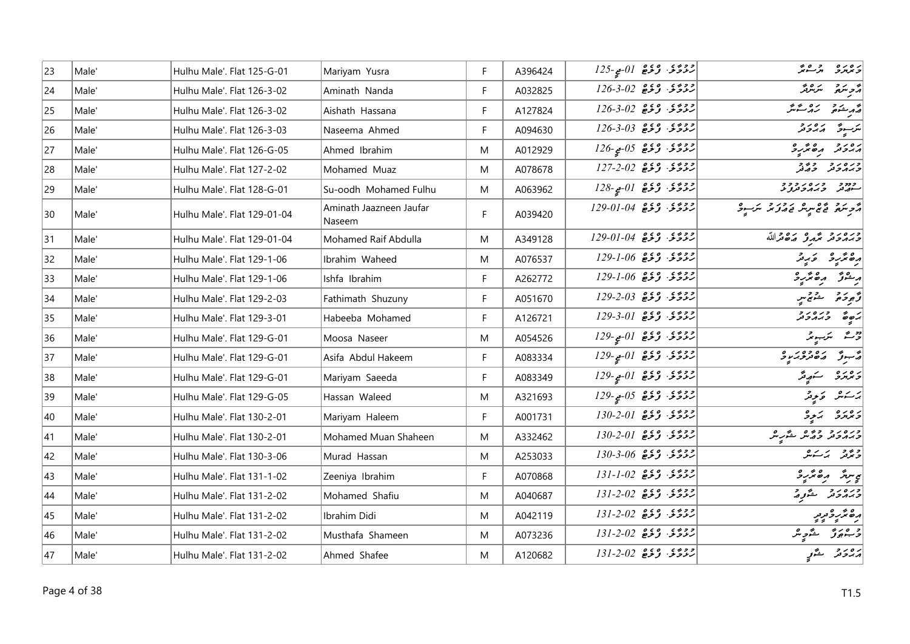| 23 | Male' | Hulhu Male'. Flat 125-G-01  | Mariyam Yusra                     | F  | A396424 | $ 125 - 01 $ د د د د و د ۱۵ ميل د د د د ا                                                                                                                                                                                     | גפגם בפי                                            |
|----|-------|-----------------------------|-----------------------------------|----|---------|-------------------------------------------------------------------------------------------------------------------------------------------------------------------------------------------------------------------------------|-----------------------------------------------------|
| 24 | Male' | Hulhu Male'. Flat 126-3-02  | Aminath Nanda                     | F  | A032825 | $126 - 3 - 02$ $22 - 3 - 3$                                                                                                                                                                                                   | أأدحر مترافير                                       |
| 25 | Male' | Hulhu Male'. Flat 126-3-02  | Aishath Hassana                   | F  | A127824 | $126 - 3 - 02$ وَوَصَعْ $02 - 3 - 12$                                                                                                                                                                                         | مەرىشقى ئەرشىش                                      |
| 26 | Male' | Hulhu Male'. Flat 126-3-03  | Naseema Ahmed                     | F. | A094630 | $126 - 3 - 03$ $22 - 3 - 3$                                                                                                                                                                                                   | يرسوڅ پره د د                                       |
| 27 | Male' | Hulhu Male'. Flat 126-G-05  | Ahmed Ibrahim                     | M  | A012929 | $126$ -يونځو. وگونغ $-05$ -يې $-126$                                                                                                                                                                                          | גפנק גם תוכ                                         |
| 28 | Male' | Hulhu Male'. Flat 127-2-02  | Mohamed Muaz                      | M  | A078678 | $127 - 2 - 02$ وَوَصَعَ 20-2-127                                                                                                                                                                                              | ور ەر د دەر<br><i>دىدە</i> رىر رەتر                 |
| 29 | Male' | Hulhu Male'. Flat 128-G-01  | Su-oodh Mohamed Fulhu             | M  | A063962 | $128 - 01$ وَوَى $28 - 10$ مِ                                                                                                                                                                                                 | כמכ כנסנכנפ<br><i>— הגי</i> ת כ <i>גובית נ</i> ע    |
| 30 | Male' | Hulhu Male'. Flat 129-01-04 | Aminath Jaazneen Jaufar<br>Naseem | F  | A039420 | $129 - 01 - 04$ $22 - 522$                                                                                                                                                                                                    | أثر برقم في المعربة والمعرفة المسافر المحرب المراجع |
| 31 | Male' | Hulhu Male'. Flat 129-01-04 | Mohamed Raif Abdulla              | M  | A349128 | $129 - 01 - 04$ $22.$ $33.2$                                                                                                                                                                                                  | وره رو محروم ره دالله                               |
| 32 | Male' | Hulhu Male'. Flat 129-1-06  | Ibrahim Waheed                    | M  | A076537 | $129 - 1 - 06$ وَوَصَعَ $-1 - 1 - 1$                                                                                                                                                                                          | رە ئەر ئەر ئەر                                      |
| 33 | Male' | Hulhu Male'. Flat 129-1-06  | Ishfa Ibrahim                     | F  | A262772 | $129 - 1 - 06$ وَوَصَعَ $6.42$                                                                                                                                                                                                | وسنوتر وكالحرير                                     |
| 34 | Male' | Hulhu Male'. Flat 129-2-03  | Fathimath Shuzuny                 | F  | A051670 | $129 - 2 - 03$ وَقَرْحَ $2 - 2 - 03$                                                                                                                                                                                          | قَرْجِوحَةُ شَيْءَ مِرِ                             |
| 35 | Male' | Hulhu Male'. Flat 129-3-01  | Habeeba Mohamed                   | F. | A126721 | $129 - 3 - 01$ $22 - 532$                                                                                                                                                                                                     | دەھ دىرەرد                                          |
| 36 | Male' | Hulhu Male'. Flat 129-G-01  | Moosa Naseer                      | M  | A054526 | $ 129 - 01 $ دوم دوم نوم دان کا دیگر دان کا دان دان کا دان کا دان کا دان کا دان کا دان کا دان کا دان کا دان کا دان کا دان کا دان کا دان کا دان کا دان کا دان کا دان کا دان کا دان کا دان کا دان کا دان کا دان کا دان کا دان ک | رحمد الكريبونير                                     |
| 37 | Male' | Hulhu Male'. Flat 129-G-01  | Asifa Abdul Hakeem                | F  | A083334 | $129 - 01$ وَوَى $129 - 0$                                                                                                                                                                                                    | ه مسور ره ده در م                                   |
| 38 | Male' | Hulhu Male'. Flat 129-G-01  | Mariyam Saeeda                    | F  | A083349 | $129 - 01$ وَوَوْ $\cdot$ وَوَوْعَ $10 - 4$                                                                                                                                                                                   | دەرە سەپەتر                                         |
| 39 | Male' | Hulhu Male'. Flat 129-G-05  | Hassan Waleed                     | M  | A321693 | $129 - 05$ وَوَى $129 - 05$ مِ                                                                                                                                                                                                | پرستانئر - خاموقتر                                  |
| 40 | Male' | Hulhu Male'. Flat 130-2-01  | Mariyam Haleem                    | F  | A001731 | $130-2-01$ وَوَعْ $253$                                                                                                                                                                                                       | دەرە بەدە                                           |
| 41 | Male' | Hulhu Male'. Flat 130-2-01  | Mohamed Muan Shaheen              | M  | A332462 | $130-2-01$ وَوَى $2.9$                                                                                                                                                                                                        | ورەرو وەھ ئەربۇ                                     |
| 42 | Male' | Hulhu Male'. Flat 130-3-06  | Murad Hassan                      | M  | A253033 | $130-3-06$ وَوَعْ $653$                                                                                                                                                                                                       | ويۇر بەسەش                                          |
| 43 | Male' | Hulhu Male'. Flat 131-1-02  | Zeeniya Ibrahim                   | F. | A070868 | $131 - 1 - 02$ وَوَصَعَ $02 - 13$                                                                                                                                                                                             | پی سرگ ره گریگی                                     |
| 44 | Male' | Hulhu Male'. Flat 131-2-02  | Mohamed Shafiu                    | M  | A040687 | $131 - 2 - 02$ $22 - 22$                                                                                                                                                                                                      | ورەر ئەرگە                                          |
| 45 | Male' | Hulhu Male'. Flat 131-2-02  | Ibrahim Didi                      | M  | A042119 | $131 - 2 - 02$ وَوَصَعْ $02 - 131 - 2$                                                                                                                                                                                        | پره ټر پر د وروړ<br>  پر ه ټر په و                  |
| 46 | Male' | Hulhu Male'. Flat 131-2-02  | Musthafa Shameen                  | M  | A073236 | $131 - 2 - 02$ وَوَصَعَ $02 - 2 - 151$                                                                                                                                                                                        | دەرە شەرقىر                                         |
| 47 | Male' | Hulhu Male'. Flat 131-2-02  | Ahmed Shafee                      | M  | A120682 | $131 - 2 - 02$ وَوَصَعْ $02 - 131 - 2$                                                                                                                                                                                        | پرورو شگو ٍ                                         |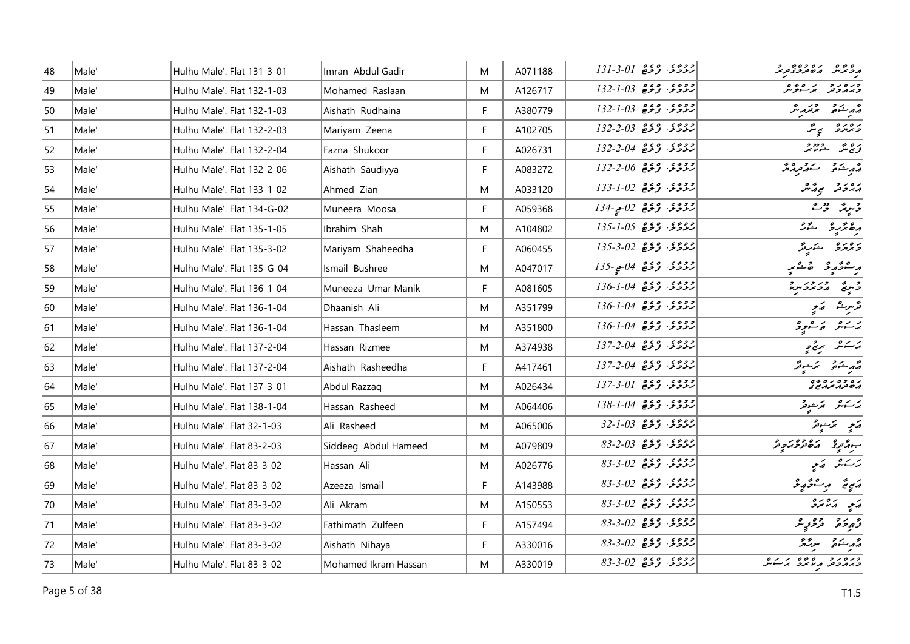| 48 | Male' | Hulhu Male'. Flat 131-3-01 | Imran Abdul Gadir    | M         | A071188 | $131 - 3 - 01$ $22 - 52$        | رو پڑس رہ دہ دیکھیے ج                 |
|----|-------|----------------------------|----------------------|-----------|---------|---------------------------------|---------------------------------------|
| 49 | Male' | Hulhu Male'. Flat 132-1-03 | Mohamed Raslaan      | M         | A126717 | $132 - 1 - 03$ $22 - 32$        | ورەرو برەۋە                           |
| 50 | Male' | Hulhu Male'. Flat 132-1-03 | Aishath Rudhaina     | F.        | A380779 | $132 - 1 - 03$ $22 - 3$         | أقدم شوه محترم متر                    |
| 51 | Male' | Hulhu Male'. Flat 132-2-03 | Mariyam Zeena        | F         | A102705 | $132 - 2 - 03$ وَقَرْحَ $2 - 3$ | د ۱۵ ده په مگر                        |
| 52 | Male' | Hulhu Male'. Flat 132-2-04 | Fazna Shukoor        | F         | A026731 | $132 - 2 - 04$ $22 - 32$        | تە ئەھەم ئەھىرى<br>كۆكى ئىش ئىس ئەسىر |
| 53 | Male' | Hulhu Male'. Flat 132-2-06 | Aishath Saudiyya     | F         | A083272 | $132 - 2 - 06$ وَوَصَعَ $62$    | أشهر شهر مستهدم والمحمد               |
| 54 | Male' | Hulhu Male'. Flat 133-1-02 | Ahmed Zian           | M         | A033120 | $133 - 1 - 02$ وَوَصَعَ 133-1   | دەر دېم پرس                           |
| 55 | Male' | Hulhu Male'. Flat 134-G-02 | Muneera Moosa        | F         | A059368 | $134$ - وَوَى $2$ وَوَى $-134$  | د سرپر د د مع                         |
| 56 | Male' | Hulhu Male'. Flat 135-1-05 | Ibrahim Shah         | M         | A104802 | $135 - 1 - 05$ $22 - 32$        | أرەندىق شى                            |
| 57 | Male' | Hulhu Male'. Flat 135-3-02 | Mariyam Shaheedha    | F         | A060455 | $135 - 3 - 02$ $22 - 32$        | و ۱۵ د ص شر شر شر                     |
| 58 | Male' | Hulhu Male'. Flat 135-G-04 | Ismail Bushree       | M         | A047017 | $135 - 04$ وَوَصَى $-04$        | أرجع ومحصوم                           |
| 59 | Male' | Hulhu Male'. Flat 136-1-04 | Muneeza Umar Manik   | F         | A081605 | $136 - 1 - 04$ $22 - 32$        | د سرچ د محمد حسن                      |
| 60 | Male' | Hulhu Male'. Flat 136-1-04 | Dhaanish Ali         | M         | A351799 | $136 - 1 - 04$ وَوَصَع 136-1    | قرسرے کرم                             |
| 61 | Male' | Hulhu Male'. Flat 136-1-04 | Hassan Thasleem      | M         | A351800 | $136 - 1 - 04$ وَوَصَع 136-1    | برساهر المحاسور                       |
| 62 | Male' | Hulhu Male'. Flat 137-2-04 | Hassan Rizmee        | M         | A374938 | $137 - 2 - 04$ $22$ $32$        | ر<br>برسەش بىرى <sub>م</sub> ىي       |
| 63 | Male' | Hulhu Male'. Flat 137-2-04 | Aishath Rasheedha    | F         | A417461 | $137 - 2 - 04$ $22 - 32$        | أقهر مشكاة والمحرمة                   |
| 64 | Male' | Hulhu Male'. Flat 137-3-01 | Abdul Razzaq         | M         | A026434 | $137 - 3 - 01$ $22 - 32$        | ן ס כם גם בם<br>השב <i>נה ב</i> נה ב  |
| 65 | Male' | Hulhu Male'. Flat 138-1-04 | Hassan Rasheed       | M         | A064406 | $138 - 1 - 04$ وَوَصَع 138-1    | يرسكانكل الترسفيوقر                   |
| 66 | Male' | Hulhu Male'. Flat 32-1-03  | Ali Rasheed          | M         | A065006 | $32 - 1 - 03$ $22 - 32$         | أركمني المركب وتر                     |
| 67 | Male' | Hulhu Male'. Flat 83-2-03  | Siddeeg Abdul Hameed | M         | A079809 | $83 - 2 - 03$ $99 - 552$        | ب وره ده ووه د ور<br>در وره ده وروز و |
| 68 | Male' | Hulhu Male'. Flat 83-3-02  | Hassan Ali           | M         | A026776 | $83 - 3 - 02$ $22$ $3 - 522$    | يزكند المائي                          |
| 69 | Male' | Hulhu Male'. Flat 83-3-02  | Azeeza Ismail        | F         | A143988 | $83 - 3 - 02$ $22 - 52$         | أربيءَ أرائد والمحمد و                |
| 70 | Male' | Hulhu Male'. Flat 83-3-02  | Ali Akram            | M         | A150553 | $83 - 3 - 02$ $22 - 52$         | أە ئەمدە                              |
| 71 | Male' | Hulhu Male'. Flat 83-3-02  | Fathimath Zulfeen    | F         | A157494 | $83 - 3 - 02$ $22 - 22$         | أزًبو حَرَمٌ فَرَحْرُوٍ مِّرَ         |
| 72 | Male' | Hulhu Male'. Flat 83-3-02  | Aishath Nihaya       | F         | A330016 | $83 - 3 - 02$ $83 - 3 - 2$      | أوأو مشكاته المستركير                 |
| 73 | Male' | Hulhu Male'. Flat 83-3-02  | Mohamed Ikram Hassan | ${\sf M}$ | A330019 | $83 - 3 - 02$ $22 - 52$         |                                       |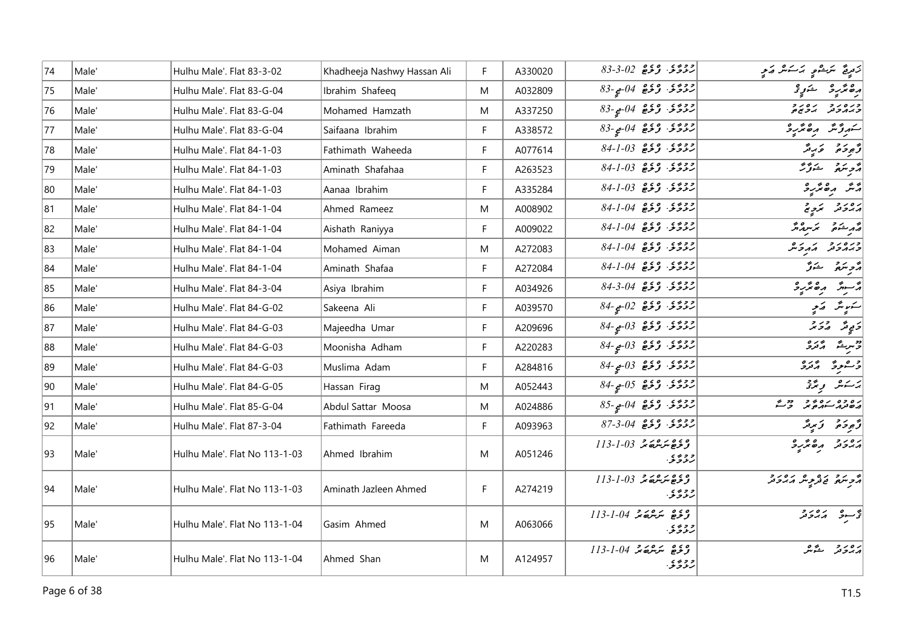| 74 | Male' | Hulhu Male'. Flat 83-3-02     | Khadheeja Nashwy Hassan Ali | F           | A330020 | $83 - 3 - 02$ $83 - 3 - 2$                                      | أذَّمِيعٌ الرَّسْمُوا إِذْ سَاسٌ الرَّمِي |
|----|-------|-------------------------------|-----------------------------|-------------|---------|-----------------------------------------------------------------|-------------------------------------------|
| 75 | Male' | Hulhu Male'. Flat 83-G-04     | Ibrahim Shafeeq             | M           | A032809 | $83 - 04$ حِمْدَةَ حَمْدِ -33 -34                               | رەپرىر ھۆر                                |
| 76 | Male' | Hulhu Male'. Flat 83-G-04     | Mohamed Hamzath             | M           | A337250 | $83 - 04$ حَرْدَ حَرْجَ $10 - 4$ - حِي                          |                                           |
| 77 | Male' | Hulhu Male'. Flat 83-G-04     | Saifaana Ibrahim            | F           | A338572 | $83 - 04$ حَرْدَ حَرْجَ $10 - 4$ - حِي                          | شرۇش مەھمرى                               |
| 78 | Male' | Hulhu Male'. Flat 84-1-03     | Fathimath Waheeda           | F           | A077614 | $84 - 1 - 03$ $22 - 32$                                         | وَجوحَهِ وَرِيمٌ                          |
| 79 | Male' | Hulhu Male'. Flat 84-1-03     | Aminath Shafahaa            | F.          | A263523 | $84 - 1 - 03$ $22$ $3 - 22$                                     | ړ د سره د شور شو                          |
| 80 | Male' | Hulhu Male'. Flat 84-1-03     | Aanaa Ibrahim               | F           | A335284 | $84 - 1 - 03$ $22 - 32$                                         | أثمثر أوقع يرد                            |
| 81 | Male' | Hulhu Male'. Flat 84-1-04     | Ahmed Rameez                | M           | A008902 | $84 - 1 - 04$ $22$ $32$                                         | دەر دېرى                                  |
| 82 | Male' | Hulhu Male'. Flat 84-1-04     | Aishath Raniyya             | F           | A009022 | $84 - 1 - 04$ $22$ $32$                                         | مەر ئىكى ئىر ئىر                          |
| 83 | Male' | Hulhu Male'. Flat 84-1-04     | Mohamed Aiman               | M           | A272083 | $84 - 1 - 04$ $22 - 32$                                         | כניםנים התכית                             |
| 84 | Male' | Hulhu Male'. Flat 84-1-04     | Aminath Shafaa              | F           | A272084 | $84 - 1 - 04$ $22$ $32$                                         | أأدح المحمورة المستوقر                    |
| 85 | Male' | Hulhu Male'. Flat 84-3-04     | Asiya Ibrahim               | $\mathsf F$ | A034926 | $84 - 3 - 04$ $22$ $3 - 3 - 2$                                  | أوجست وه محرره                            |
| 86 | Male' | Hulhu Male'. Flat 84-G-02     | Sakeena Ali                 | $\mathsf F$ | A039570 | $84 - 02$ وَوَصَى $02 - 2$                                      | سە يەتىر قىيى <del>م</del>                |
| 87 | Male' | Hulhu Male'. Flat 84-G-03     | Majeedha Umar               | F.          | A209696 | $84 - 03$ وَمَحْدٍ وَمَحْظٍ $63 - 84$                           | كە ئەركىمى ئەركىم                         |
| 88 | Male' | Hulhu Male'. Flat 84-G-03     | Moonisha Adham              | $\mathsf F$ | A220283 | $84 - 03$ وَمَحْدٍ وَمَحْظٍ $63 - 84$                           | وسريقة المرتزى                            |
| 89 | Male' | Hulhu Male'. Flat 84-G-03     | Muslima Adam                | F           | A284816 | $84 - 03$ وَوَى $2$ $8 - 12$                                    | وحسوو المترو                              |
| 90 | Male' | Hulhu Male'. Flat 84-G-05     | Hassan Firag                | M           | A052443 | $84 - 05$ وَوَى $25.$                                           | پرستانلار پوتىژى                          |
| 91 | Male' | Hulhu Male'. Flat 85-G-04     | Abdul Sattar Moosa          | M           | A024886 | $85 - 04$ حِمْدَةَ حَمْدِ -94 $\sim$ 19                         | נסכם נסיכ מיי<br>הסנג היה בג כל           |
| 92 | Male' | Hulhu Male'. Flat 87-3-04     | Fathimath Fareeda           | F           | A093963 | $87 - 3 - 04$ $22$ $3 - 3 - 1$                                  | أوالمحافظ والمميان                        |
| 93 | Male' | Hulhu Male'. Flat No 113-1-03 | Ahmed Ibrahim               | M           | A051246 | و و ه مره د حدود 113-1-311<br>و و و ي.<br>رنونوگو               | גפנג גם בני                               |
| 94 | Male' | Hulhu Male'. Flat No 113-1-03 | Aminath Jazleen Ahmed       | F           | A274219 | $113 - 1 - 03$ $222 - 82$<br>ج و بر ي.<br>رنگوري                | أدوسه في فروس كرور و                      |
| 95 | Male' | Hulhu Male'. Flat No 113-1-04 | Gasim Ahmed                 | M           | A063066 | <b>113-1-04</b> مُرْسُمَة حَدَّ 113-1-41<br>و و و ي.<br>رنونوگو | تخسبوه كالمرومر                           |
| 96 | Male' | Hulhu Male'. Flat No 113-1-04 | Ahmed Shan                  | M           | A124957 | ووم شر <i>م 113-1-04</i><br>و و و ء .<br>رند <del>و</del> نو    | رەر ئەشر                                  |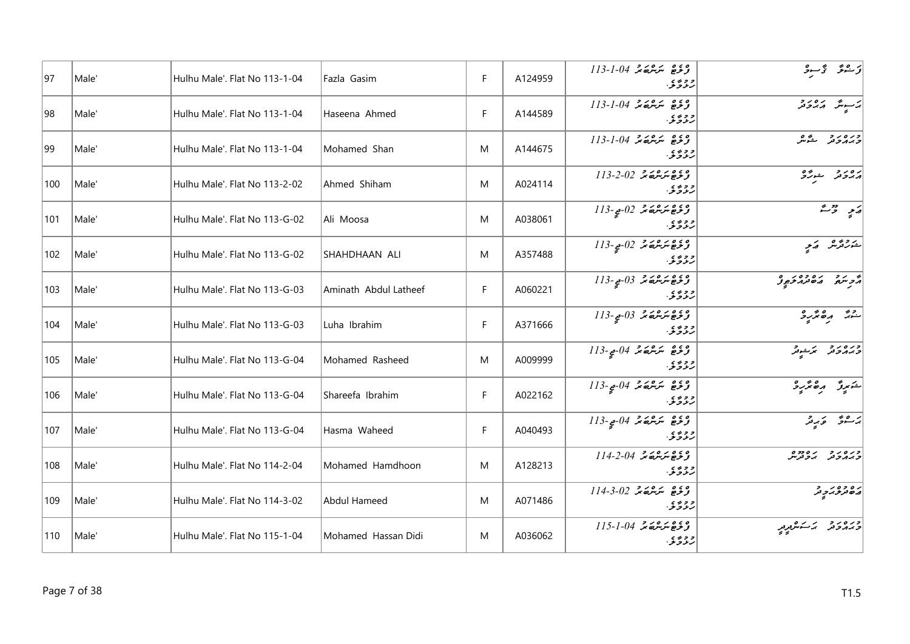| 97  | Male' | Hulhu Male'. Flat No 113-1-04 | Fazla Gasim           | F  | A124959 | ووق سَرْسْهَ 113-1-611<br>و و و ي.<br>رند و گو.                         | أرائدنم تخالج والمح                                                                                                               |
|-----|-------|-------------------------------|-----------------------|----|---------|-------------------------------------------------------------------------|-----------------------------------------------------------------------------------------------------------------------------------|
| 98  | Male' | Hulhu Male'. Flat No 113-1-04 | Haseena Ahmed         | F  | A144589 | ووم شركة 113-1-611<br>و و و ء .<br>رند <del>و</del> نو                  | برَ سومتر مربر و در د                                                                                                             |
| 99  | Male' | Hulhu Male'. Flat No 113-1-04 | Mohamed Shan          | M  | A144675 | ووق س <i>ت شهر 113-1-811</i><br>و و و ي.<br>رند و تو .                  | ورەر دېم شەھ                                                                                                                      |
| 100 | Male' | Hulhu Male'. Flat No 113-2-02 | Ahmed Shiham          | M  | A024114 | $113 - 2 - 02$ $222 - 82$<br>و و و ي.<br>رندگرنگ                        | رەرو جەرى                                                                                                                         |
| 101 | Male' | Hulhu Male'. Flat No 113-G-02 | Ali Moosa             | M  | A038061 | $113$ - وحود المستعدد 20- محمد -113<br>و و و ء .<br>رند <del>و</del> نو | $\begin{array}{cc} \stackrel{\circ}{\sim} & \stackrel{\circ}{\sim} & \stackrel{\circ}{\sim} & \stackrel{\circ}{\sim} \end{array}$ |
| 102 | Male' | Hulhu Male'. Flat No 113-G-02 | SHAHDHAAN ALI         | M  | A357488 | و و و ه سر سه حد 113- مي<br>ر و و ء .<br>رند <del>و</del> و .           | ے دور کرم                                                                                                                         |
| 103 | Male' | Hulhu Male'. Flat No 113-G-03 | Aminath Abdul Latheef | F. | A060221 | وء ويره مع 113-يې-113<br>و و و ي.<br>رندگرنگ                            | הכתים הסינה בקב                                                                                                                   |
| 104 | Male' | Hulhu Male'. Flat No 113-G-03 | Luha Ibrahim          | F  | A371666 | و و و مرمور چ -113 و<br>ر و و ء .<br>رند <del>و</del> و .               | $5 - 20 - 22$                                                                                                                     |
| 105 | Male' | Hulhu Male'. Flat No 113-G-04 | Mohamed Rasheed       | M  | A009999 | $113 - 04$ $-04$ $-04$ $-04$<br>ر و و ء .<br>رند <del>و</del> و .       | ورەرو كەنبەتر                                                                                                                     |
| 106 | Male' | Hulhu Male'. Flat No 113-G-04 | Shareefa Ibrahim      | F. | A022162 | ووق سَرْسَهُمْ 14-ي-113<br>و و و ي.<br>رندگرنگ                          | شوہری رہ مرّید                                                                                                                    |
| 107 | Male' | Hulhu Male'. Flat No 113-G-04 | Hasma Waheed          | F  | A040493 | وءه شرق محمد 04-313<br>و و و ء .<br>رنو <del>و</del> نو                 | برعدة أوبرقر                                                                                                                      |
| 108 | Male' | Hulhu Male'. Flat No 114-2-04 | Mohamed Hamdhoon      | M  | A128213 | $114 - 2 - 04$ $222 - 82$<br>و و و ء .<br>رند <del>و</del> نو           | ورەرو رەپىرە<br>جەمەدىر بەدىرس                                                                                                    |
| 109 | Male' | Hulhu Male'. Flat No 114-3-02 | Abdul Hameed          | M  | A071486 | $114 - 3 - 02$ $222 - 202$<br>و و و ء .<br>رند <del>و</del> نو          | ړ ه د ور چه د                                                                                                                     |
| 110 | Male' | Hulhu Male'. Flat No 115-1-04 | Mohamed Hassan Didi   | M  | A036062 | $115 - 1 - 04$<br>و و و ي.<br>رنونوگو                                   | ورەرو كەكەربىر                                                                                                                    |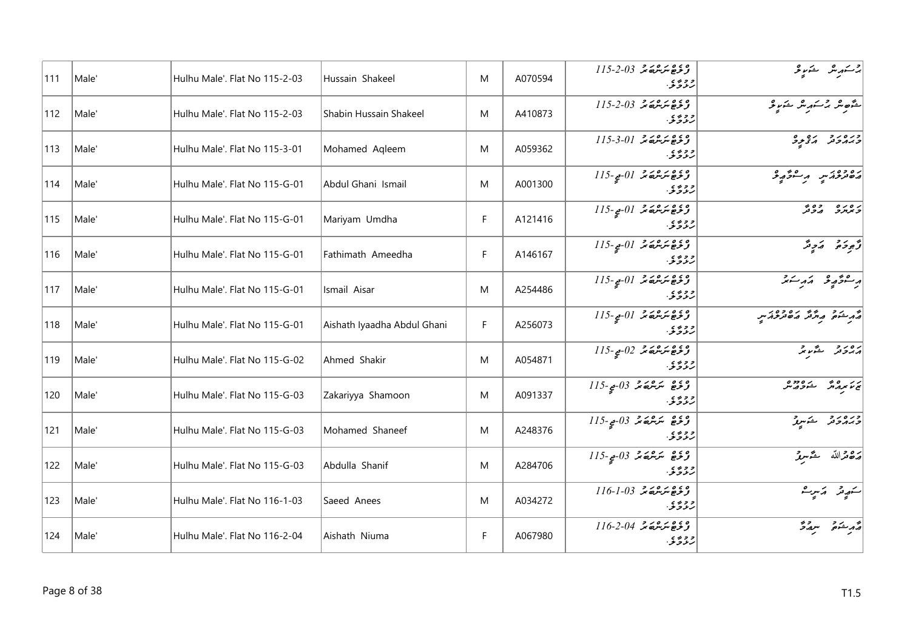| 111 | Male' | Hulhu Male'. Flat No 115-2-03 | Hussain Shakeel             | M | A070594 | $115 - 2 - 03$<br>و و و ء .<br>رند <del>و</del> نو                               | چرىسى ھەرىپى<br>مەسىر    |
|-----|-------|-------------------------------|-----------------------------|---|---------|----------------------------------------------------------------------------------|--------------------------|
| 112 | Male' | Hulhu Male'. Flat No 115-2-03 | Shabin Hussain Shakeel      | M | A410873 | $115 - 2 - 03$<br>و و و ء .<br>رند <del>و</del> نو                               | شەھ سى ئەسەر سىر سىر بول |
| 113 | Male' | Hulhu Male'. Flat No 115-3-01 | Mohamed Aqleem              | M | A059362 | $115 - 3 - 01$<br>و و و ء .<br>رند <del>و</del> و .                              | ورەرو روپو               |
| 114 | Male' | Hulhu Male'. Flat No 115-G-01 | Abdul Ghani Ismail          | M | A001300 | $115$ - وَوْحِ مَرْسُرِهَ مَنْ $01$ - مِي<br>333ع.<br>رنم <b>ر</b> ئر            | הפינגית הפיצוב           |
| 115 | Male' | Hulhu Male'. Flat No 115-G-01 | Mariyam Umdha               | F | A121416 | و وه عرض هذا 115-يو-115<br>333ع.<br>مرکو <del>گر</del>                           | ره ره ده د               |
| 116 | Male' | Hulhu Male'. Flat No 115-G-01 | Fathimath Ameedha           | F | A146167 | وءومرمه حداك-مي-115<br>و و و ء .<br>رند <del>و</del> و .                         | ژودو مړير                |
| 117 | Male' | Hulhu Male'. Flat No 115-G-01 | Ismail Aisar                | M | A254486 | ووم مرمدة عمر ال-مي-115<br>ر و و و .<br>رند <del>و</del> تو .                    | وسقوقيو المراسكر         |
| 118 | Male' | Hulhu Male'. Flat No 115-G-01 | Aishath Iyaadha Abdul Ghani | F | A256073 | وءه بره محمد ال-مٍ-115<br>ر و و ي.<br>رند <del>و</del> نو                        | ה<br>האגיים התת הסתלתית  |
| 119 | Male' | Hulhu Male'. Flat No 115-G-02 | Ahmed Shakir                | M | A054871 | ووم مركز 20-ي-211<br>و و و ي.<br>رنونوگو                                         | رەرو ئەدىر               |
| 120 | Male' | Hulhu Male'. Flat No 115-G-03 | Zakariyya Shamoon           | M | A091337 | $115$ - وَوَضَعَ سَرَسْهَ مَرْ $03$ - مِي<br>ر و و و .<br>رند <del>و</del> تو .  | גג פי המריכים            |
| 121 | Male' | Hulhu Male'. Flat No 115-G-03 | Mohamed Shaneef             | M | A248376 | $115$ - وَوْج سَرْسَ صَمَّر $03 - 115$ - وِ<br>و و و ء .<br>رنو <del>و</del> و . | ورەرو شەيرو              |
| 122 | Male' | Hulhu Male'. Flat No 115-G-03 | Abdulla Shanif              | M | A284706 | $115$ - وَوَضَعَ سَرَسْهَ مَرْ $03$ - مِي<br>و و و ي.<br>رنونوگو                 | رەقراللە شەمع            |
| 123 | Male' | Hulhu Male'. Flat No 116-1-03 | Saeed Anees                 | M | A034272 | $116 - 1 - 03$ $222 - 82$<br>و و و ء .<br>رند <del>و</del> نو                    | سكور قريب                |
| 124 | Male' | Hulhu Male'. Flat No 116-2-04 | Aishath Niuma               | F | A067980 | $116 - 2 - 04$<br>و و و ء .<br>رند <del>و</del> نو                               | ومشكو سروقة              |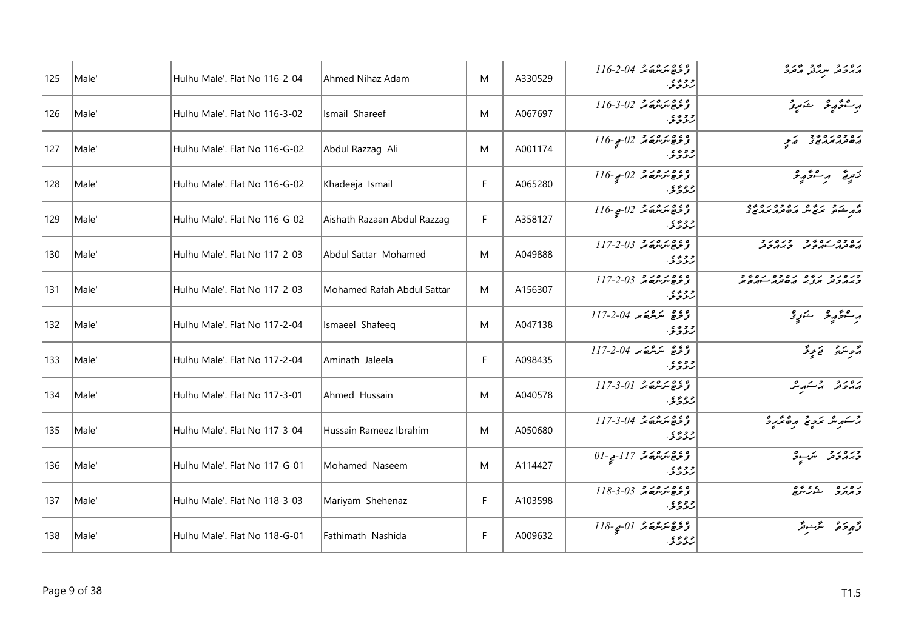| 125 | Male' | Hulhu Male'. Flat No 116-2-04 | Ahmed Nihaz Adam            | M           | A330529 | $116 - 2 - 04$ $222 - 82$<br>و و و ء .<br>رند <del>و</del> نو                  | ره رو سرگانه محده<br>مدوند سرگانه محدو                 |
|-----|-------|-------------------------------|-----------------------------|-------------|---------|--------------------------------------------------------------------------------|--------------------------------------------------------|
| 126 | Male' | Hulhu Male'. Flat No 116-3-02 | Ismail Shareef              | M           | A067697 | $116 - 3 - 02$ $222 - 202$<br>و و و ء .<br>رو <del>و</del> تو .                | رەشۇر ئىسىر                                            |
| 127 | Male' | Hulhu Male'. Flat No 116-G-02 | Abdul Razzag Ali            | M           | A001174 | و و و ه سره د حد 20-يې-116<br><u>رووي.</u>                                     | גם כסגס שב הב                                          |
| 128 | Male' | Hulhu Male'. Flat No 116-G-02 | Khadeeja Ismail             | F           | A065280 | $116$ - و د ه مر شه مله $-02$<br>ج و بر ي.<br>رنگوري                           | كترقي وسنتجوج                                          |
| 129 | Male' | Hulhu Male'. Flat No 116-G-02 | Aishath Razaan Abdul Razzag | F.          | A358127 | $116$ - مِ $-02$ مِنْ مِنْ $-02$<br><u>رووي.</u>                               | د در در ده ده ده ده ده ده<br>په شوه نري س پره در در در |
| 130 | Male' | Hulhu Male'. Flat No 117-2-03 | Abdul Sattar Mohamed        | M           | A049888 | $117 - 2 - 03$ $222 - 82$<br><u>رووي.</u>                                      | נסכם נסמכ כנסנכ<br>גםנגג יינגים כגגבנג                 |
| 131 | Male' | Hulhu Male'. Flat No 117-2-03 | Mohamed Rafah Abdul Sattar  | M           | A156307 | $117 - 2 - 03$ $222 - 82$<br>و و و ء .<br>رند <del>و</del> و .                 | כנסנכ נשם נסכם נסשכ<br>כמהכת צצג הסתה — הסב            |
| 132 | Male' | Hulhu Male'. Flat No 117-2-04 | Ismaeel Shafeeq             | M           | A047138 | $117 - 2 - 04$<br><u>رووي.</u>                                                 |                                                        |
| 133 | Male' | Hulhu Male'. Flat No 117-2-04 | Aminath Jaleela             | F           | A098435 | $117 - 2 - 04$<br>و و و ء .<br>رند <del>و</del> نو                             | أزويتم فيموقر                                          |
| 134 | Male' | Hulhu Male'. Flat No 117-3-01 | Ahmed Hussain               | M           | A040578 | $117 - 3 - 01$<br>و و و ء .<br>رند <del>و</del> و .                            | رەرو جەسىرىك                                           |
| 135 | Male' | Hulhu Male'. Flat No 117-3-04 | Hussain Rameez Ibrahim      | M           | A050680 | $117 - 3 - 04$<br>و و و ء .<br>رو <del>ؤ</del> تو .                            | جسكر مكروح أره يحررو                                   |
| 136 | Male' | Hulhu Male'. Flat No 117-G-01 | Mohamed Naseem              | M           | A114427 | $01$ - و عروبه محمد 117- مح<br>ج و بر ي.<br>رنگوري                             | ورەرو شرىدۇ                                            |
| 137 | Male' | Hulhu Male'. Flat No 118-3-03 | Mariyam Shehenaz            | $\mathsf F$ | A103598 | $118 - 3 - 03$ و د موسر هغه ک<br>و و و ء .<br>رند <del>و</del> نو              | رەرە ئەرمۇ                                             |
| 138 | Male' | Hulhu Male'. Flat No 118-G-01 | Fathimath Nashida           | F           | A009632 | $118$ - وَكَوْهِ مَرْسُوهَ مَنْ $01$ - وِ<br>و و و ء .<br>رند <del>و</del> و . | تؤجر فتحر متكشوش                                       |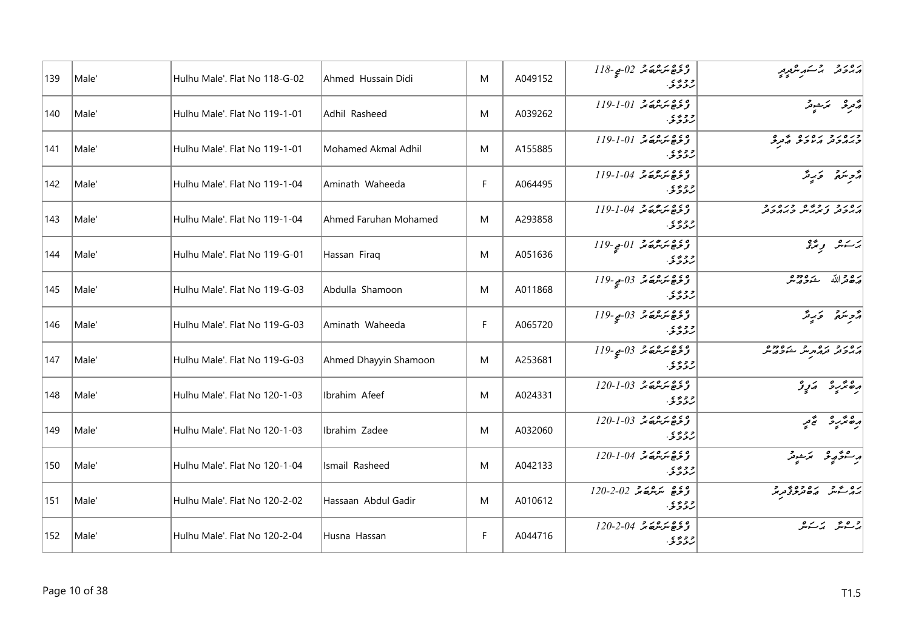| 139 | Male' | Hulhu Male'. Flat No 118-G-02 | Ahmed Hussain Didi    | M | A049152 | وْ وْ ھْ سَرْسْرْھَ بْرْ - 118-يې<br>و و و ي.<br>رندگرنو .                            | ەر ئەر ئەسەر شەيرىر                                        |
|-----|-------|-------------------------------|-----------------------|---|---------|---------------------------------------------------------------------------------------|------------------------------------------------------------|
| 140 | Male' | Hulhu Male'. Flat No 119-1-01 | Adhil Rasheed         | M | A039262 | ووع مَرْسْهُمْ 10-1-119<br>و و و ء .<br>رو <del>ؤ</del> تو .                          | ۇترى ئىشىر                                                 |
| 141 | Male' | Hulhu Male'. Flat No 119-1-01 | Mohamed Akmal Adhil   | M | A155885 | ووع مكره مع 10-1-119<br><u>رووي.</u>                                                  | ورەر د درەرە مەركى<br><i>دىد</i> ىدىن م <i>ىل</i> ىرى مەرگ |
| 142 | Male' | Hulhu Male'. Flat No 119-1-04 | Aminath Waheeda       | F | A064495 | و و م م م 19-1-119<br>و و و ء .<br>رند <del>و</del> نو                                | أرتجه يتحريقه                                              |
| 143 | Male' | Hulhu Male'. Flat No 119-1-04 | Ahmed Faruhan Mohamed | M | A293858 | ووه مرمود 19-1-119<br>و و و ء .<br>رو <del>و</del> تو .                               | ג סגב גבשים בגם בב<br>הגבע ציגגית בגהבע                    |
| 144 | Male' | Hulhu Male'. Flat No 119-G-01 | Hassan Firaq          | M | A051636 | ووم مرموز جي -119 ج<br>ج و بر ي.<br>رنگوري                                            | يزسكانكر الواندقي                                          |
| 145 | Male' | Hulhu Male'. Flat No 119-G-03 | Abdulla Shamoon       | M | A011868 | ووم مرمض 30-ي-119<br>و و و ي.<br>رندگرنگ                                              | رە داللە شەھ بور                                           |
| 146 | Male' | Hulhu Male'. Flat No 119-G-03 | Aminath Waheeda       | F | A065720 | ووم مرمض 30-ي-119<br>3 د بري.<br>رنو تر تو .                                          | أزويته وباقر                                               |
| 147 | Male' | Hulhu Male'. Flat No 119-G-03 | Ahmed Dhayyin Shamoon | M | A253681 | و و و مرمور چ -119 و -119<br>ج و بر ي.<br>رنگوري                                      | גם גם גם גם גם כבם.<br>הגבת תגתעת הבבהית                   |
| 148 | Male' | Hulhu Male'. Flat No 120-1-03 | Ibrahim Afeef         | M | A024331 | $120 - 1 - 03$ وَوْجِعْ سَرْسِعْ سَمْهِ مِنْ 1-03<br>و و و ء .<br>رند <del>و</del> نو | رەنزىر كۆر                                                 |
| 149 | Male' | Hulhu Male'. Flat No 120-1-03 | Ibrahim Zadee         | M | A032060 | $120 - 1 - 03$ $222 - 92$<br>و و و ء .<br>رند <del>و</del> و .                        | رە ئ <sup>ۆ</sup> رۈ گ <sub>ە</sub> تر                     |
| 150 | Male' | Hulhu Male'. Flat No 120-1-04 | Ismail Rasheed        | M | A042133 | $120 - 1 - 04$ $222 - 92$<br>و و و ي.<br>رنونوگو                                      | أبر سكرة بوطني ترسيدهم                                     |
| 151 | Male' | Hulhu Male'. Flat No 120-2-02 | Hassaan Abdul Gadir   | M | A010612 | $120 - 2 - 02$ $222 - 202$<br>و و و ء .<br>رند <del>و</del> نو                        | ره د د ره ده د د د                                         |
| 152 | Male' | Hulhu Male'. Flat No 120-2-04 | Husna Hassan          | F | A044716 | $120 - 2 - 04$ $222 - 24$<br>و و و ء .<br>رند <del>و</del> نو                         | چە ئەسكە ئەسكەنلەر                                         |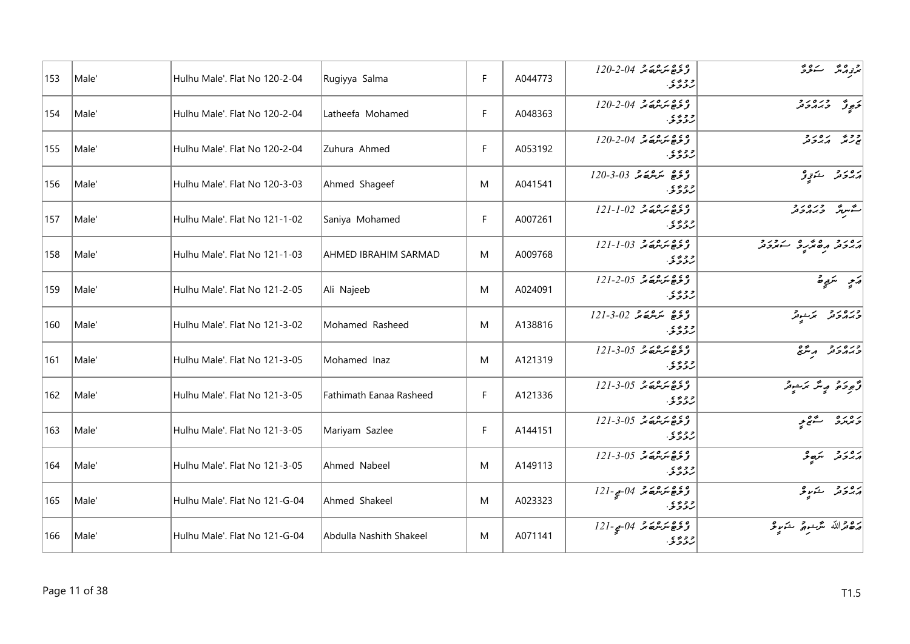| 153 | Male'     | Hulhu Male'. Flat No 120-2-04 | Rugiyya Salma               | F. | A044773 | $120 - 2 - 04$ $222 - 20$<br>و و و ء .<br>رند <del>و</del> نو  | حرة معرض المستوفر                      |
|-----|-----------|-------------------------------|-----------------------------|----|---------|----------------------------------------------------------------|----------------------------------------|
| 154 | Male'     | Hulhu Male'. Flat No 120-2-04 | Latheefa Mohamed            | F. | A048363 | $120 - 2 - 04$ وَوْج<br>ر و و ء .<br>رند <del>و</del> نو       | و ره ر د<br>تر <i>پر</i> وتر<br>تزېږۇ  |
| 155 | Male'     | Hulhu Male'. Flat No 120-2-04 | Zuhura Ahmed                | F  | A053192 | <b>120-2-04</b> 20-2-021<br><u>رووي.</u>                       | و و په مره رو<br>پح <i>رنگ</i> مرکز کر |
| 156 | Male'     | Hulhu Male'. Flat No 120-3-03 | Ahmed Shageef               | M  | A041541 | $120 - 3 - 03$ $222 - 82$<br>ر و و و .<br>رند <del>و</del> و . | رەر ئىستېرى                            |
| 157 | Male'     | Hulhu Male'. Flat No 121-1-02 | Saniya Mohamed              | F. | A007261 | و د م ه سره د ح 1-1-21<br><u>رووي.</u>                         | سەس دىرەرد                             |
| 158 | Male'     | Hulhu Male'. Flat No 121-1-03 | <b>AHMED IBRAHIM SARMAD</b> | M  | A009768 | $121 - 1 - 03$ $222 - 829$<br>و و و ء .<br>رندگرنگ             | ו סוב תפיתים ביבוב                     |
| 159 | Male'     | Hulhu Male'. Flat No 121-2-05 | Ali Najeeb                  | M  | A024091 | $121 - 2 - 05$ $222 - 205$<br>و و و ء .<br>رند <del>و</del> نو | أتذمج التزميرة                         |
| 160 | Male'     | Hulhu Male'. Flat No 121-3-02 | Mohamed Rasheed             | M  | A138816 | $121 - 3 - 02$ $222 - 82$<br><u>رووي.</u>                      | ورەرو كەنبەتر                          |
| 161 | $ $ Male' | Hulhu Male'. Flat No 121-3-05 | Mohamed Inaz                | M  | A121319 | $121 - 3 - 05$ $222 - 82$<br>و و و ي.<br>رنونوگو               | כממכני תיתים                           |
| 162 | $ $ Male' | Hulhu Male'. Flat No 121-3-05 | Fathimath Eanaa Rasheed     | F. | A121336 | $121 - 3 - 05$ $222 - 82$<br>ر و و و .<br>رنگوری               | وتموخا ويتر بمشوش                      |
| 163 | Male'     | Hulhu Male'. Flat No 121-3-05 | Mariyam Sazlee              | F. | A144151 | وء ۾ شر <i>هي خي 121-3-05</i><br><u>رووي.</u>                  | رەرە ئەر                               |
| 164 | Male'     | Hulhu Male'. Flat No 121-3-05 | Ahmed Nabeel                | M  | A149113 | و و م م م ده د 121-3-05<br>و و و ء .<br>رندگرنگ                | أرور والمهوفى                          |
| 165 | $ $ Male' | Hulhu Male'. Flat No 121-G-04 | Ahmed Shakeel               | M  | A023323 | و و و هر سر سر 124-م -121<br>و و و ي.<br>رندگرنو .             | برەر دېم خىرى                          |
| 166 | $ $ Male' | Hulhu Male'. Flat No 121-G-04 | Abdulla Nashith Shakeel     | M  | A071141 | و و مريده عمر 04-م -121<br>ر و و و .<br>رند <del>و</del> و .   | ح صحرالله مترجوج خوريجر                |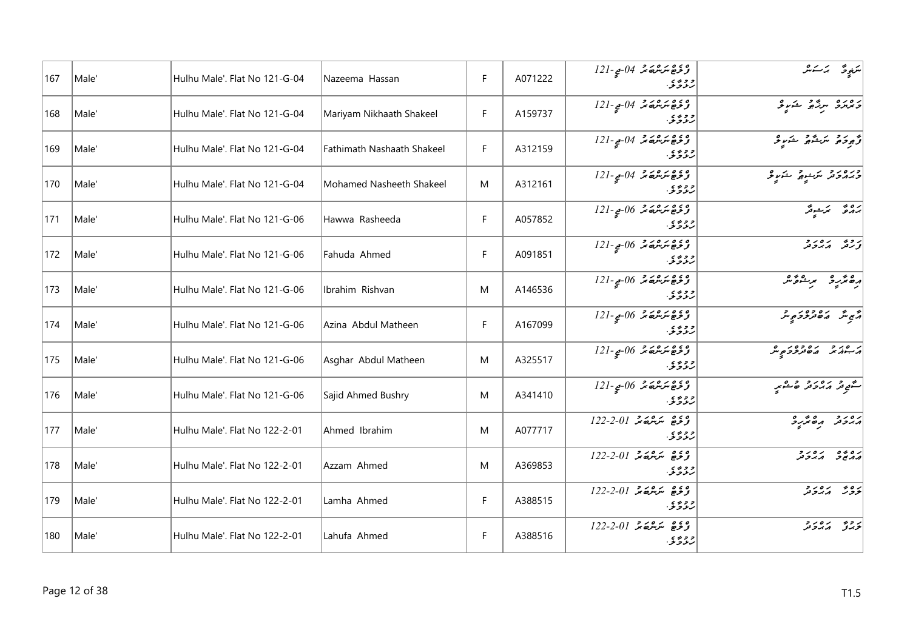| 167 | Male' | Hulhu Male'. Flat No 121-G-04 | Nazeema Hassan             | F           | A071222 | وْ دْ ھْ سَرْ سْرْ ھَ بْرْ - 121 [<br>و و و ي.<br>رنونونو .                   | لترفوق الكاسكس             |
|-----|-------|-------------------------------|----------------------------|-------------|---------|-------------------------------------------------------------------------------|----------------------------|
| 168 | Male' | Hulhu Male'. Flat No 121-G-04 | Mariyam Nikhaath Shakeel   | $\mathsf F$ | A159737 | و وه عرضه على -121 [12]<br>و و و ء .<br>رند <del>و</del> نو                   | رەرە سەرقى ھەر             |
| 169 | Male' | Hulhu Male'. Flat No 121-G-04 | Fathimath Nashaath Shakeel | F           | A312159 | و و و ه مره د چه -121<br><u>رووي.</u>                                         | توجدة لترشيح لمنولو        |
| 170 | Male' | Hulhu Male'. Flat No 121-G-04 | Mohamed Nasheeth Shakeel   | M           | A312161 | و و م م م م م بال -121<br>333ع.<br>رنم <b>و</b> څو                            | ورەرو كردو كەرك            |
| 171 | Male' | Hulhu Male'. Flat No 121-G-06 | Hawwa Rasheeda             | F.          | A057852 | و و م م م م م م بال 121- 121<br>و و و ء .<br>رند <del>و</del> و .             | رەپ بەئبەد                 |
| 172 | Male' | Hulhu Male'. Flat No 121-G-06 | Fahuda Ahmed               | $\mathsf F$ | A091851 | ووم مرمودة من 121- إيراد<br><u>رووي.</u>                                      | زره پرورو                  |
| 173 | Male' | Hulhu Male'. Flat No 121-G-06 | Ibrahim Rishvan            | M           | A146536 | وْ وْ وْ مْسْتَوْمْرْ 121-يې-211<br>و و و ي.<br>رند و گو.                     | رە ئەرەب بەلشەھ بىر        |
| 174 | Male' | Hulhu Male'. Flat No 121-G-06 | Azina Abdul Matheen        | F           | A167099 | و و و هر شهر 121- و -121<br><u>رووي.</u>                                      | و ده ووه د و               |
| 175 | Male' | Hulhu Male'. Flat No 121-G-06 | Asghar Abdul Matheen       | M           | A325517 | ووم مرمود 121-يو-121<br>ج و بر ي.<br>رنگوري                                   | ر ور د رودور و             |
| 176 | Male' | Hulhu Male'. Flat No 121-G-06 | Sajid Ahmed Bushry         | M           | A341410 | ووم مرمض -121 - 121<br>و و و ء .<br>رند <del>و</del> نو                       | سگي تر مركز در د هشمي      |
| 177 | Male' | Hulhu Male'. Flat No 122-2-01 | Ahmed Ibrahim              | M           | A077717 | <b>122-2-01</b> مَرْسُرْهُ مَرْ 122-2-01<br>و و و ء .<br>رو <del>ؤ</del> تو . | גם גם הפיתיכ               |
| 178 | Male' | Hulhu Male'. Flat No 122-2-01 | Azzam Ahmed                | M           | A369853 | <b>122-2-01</b> مَرْسُرْهُ مَرْ 122-2-01<br>و و و ي.<br>رنونوگو               | גם כם גם גב<br>הגביב הגביב |
| 179 | Male' | Hulhu Male'. Flat No 122-2-01 | Lamha Ahmed                | $\mathsf F$ | A388515 | $122 - 2 - 01$ $222 - 01$<br>و و و ء .<br>رندگرنگ                             | تروته برور و               |
| 180 | Male' | Hulhu Male'. Flat No 122-2-01 | Lahufa Ahmed               | F           | A388516 | ووق شهد بين 122-2-122<br>و و و ء .<br>رند <del>و</del> نو                     | ترويج كالمرواة             |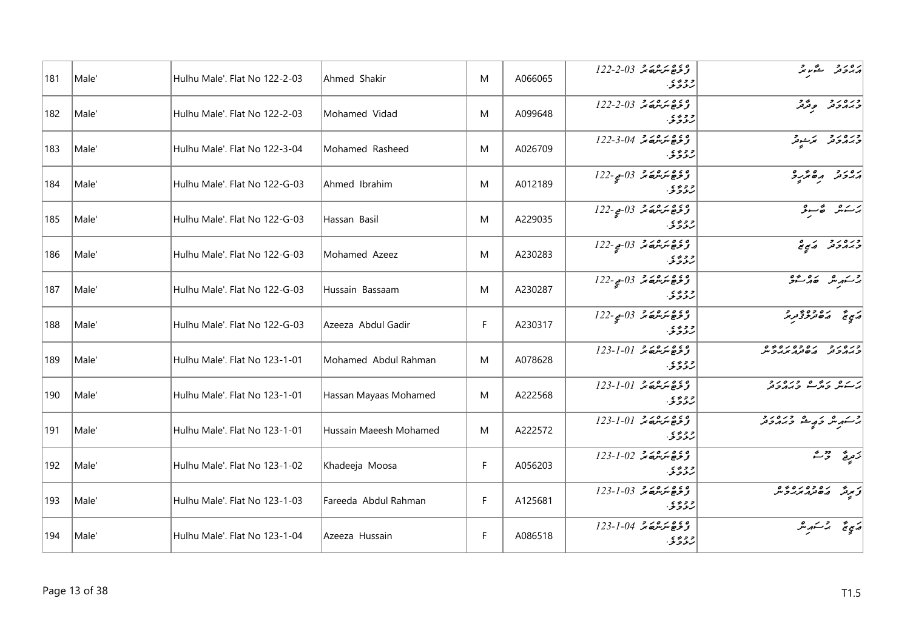| 181 | Male'     | Hulhu Male'. Flat No 122-2-03 | Ahmed Shakir           | M  | A066065 | $122 - 2 - 03$ وَوَضَعَ سَرْبَعَ عَبْرَ 122-2<br>و و و ء .<br>رند <del>و</del> نو | رەرو شىرىر                                                                                           |
|-----|-----------|-------------------------------|------------------------|----|---------|-----------------------------------------------------------------------------------|------------------------------------------------------------------------------------------------------|
| 182 | $ $ Male' | Hulhu Male'. Flat No 122-2-03 | Mohamed Vidad          | M  | A099648 | و و م مره د چې 22-2-122<br>و و و ء .<br>رند و تو .                                | وره رو درو<br>د <i>پروونر و</i> ترتر                                                                 |
| 183 | Male'     | Hulhu Male'. Flat No 122-3-04 | Mohamed Rasheed        | M  | A026709 | ووم شر <i>م خوم 122-3-04</i><br><u>رووي.</u>                                      | ورەرو كەنبەتى                                                                                        |
| 184 | Male'     | Hulhu Male'. Flat No 122-G-03 | Ahmed Ibrahim          | M  | A012189 | و و م ه مره ه م 3 -122<br>ر و و د ي.<br>رنگوري                                    | גפנק השתניק                                                                                          |
| 185 | Male'     | Hulhu Male'. Flat No 122-G-03 | Hassan Basil           | M  | A229035 | وءه مرمورة ج -122<br>و و و ي.<br>رنونونو .                                        | برَسَسْ ھُسو                                                                                         |
| 186 | Male'     | Hulhu Male'. Flat No 122-G-03 | Mohamed Azeez          | M  | A230283 | و و م م م م د 122- م 122- 122<br>ج و بر ي.<br>رنگوري                              | בגםגב בבים                                                                                           |
| 187 | Male'     | Hulhu Male'. Flat No 122-G-03 | Hussain Bassaam        | M  | A230287 | و و م ه مره ه م 3 -122<br>و و و ي.<br>رند و تو .                                  | بر کور سی ده ده و                                                                                    |
| 188 | Male'     | Hulhu Male'. Flat No 122-G-03 | Azeeza Abdul Gadir     | F. | A230317 | و و و هر سر ه دي 3 -122<br><u>رووي.</u>                                           | مَ مِي مَصْرَ حَرَّ حَرَّ حَرِ حَرَّ حَرَّ حَرَّ حَرَّ حَرَّ حَرَّ حَرَّ حَرَّ حَرَّ حَرَّ حَرَّ حَر |
| 189 | $ $ Male' | Hulhu Male'. Flat No 123-1-01 | Mohamed Abdul Rahman   | M  | A078628 | $123 - 1 - 01$<br>و و و ي.<br>رنونوگو                                             | CLOLOSOL COLORO                                                                                      |
| 190 | Male'     | Hulhu Male'. Flat No 123-1-01 | Hassan Mayaas Mohamed  | M  | A222568 | $123 - 1 - 01$<br>و و و ء .<br>رند <del>و</del> نو                                | ير کيمر او در دار د                                                                                  |
| 191 | Male'     | Hulhu Male'. Flat No 123-1-01 | Hussain Maeesh Mohamed | M  | A222572 | $123 - 1 - 01$<br>و و و ء .<br>رو <del>ؤ</del> تو .                               | بر کرمر تر دید و دره د و                                                                             |
| 192 | Male'     | Hulhu Male'. Flat No 123-1-02 | Khadeeja Moosa         | F. | A056203 | $123 - 1 - 02$ وَوَصَّ سَرْبَعَ صَدَّ<br>ر و و و .<br>رند <del>و</del> ک          | زَمِرِجٌ حَ"سٌمُ                                                                                     |
| 193 | $ $ Male' | Hulhu Male'. Flat No 123-1-03 | Fareeda Abdul Rahman   | F. | A125681 | $123 - 1 - 03$ $222 - 82$<br>و و و ء .<br>رند <del>و</del> نو                     | توسط ده ده ده ده ک                                                                                   |
| 194 | Male'     | Hulhu Male'. Flat No 123-1-04 | Azeeza Hussain         | F  | A086518 | $123 - 1 - 04$ $229 - 229$<br>ر و و و .<br>رنگوری                                 | ەي ئەسىر                                                                                             |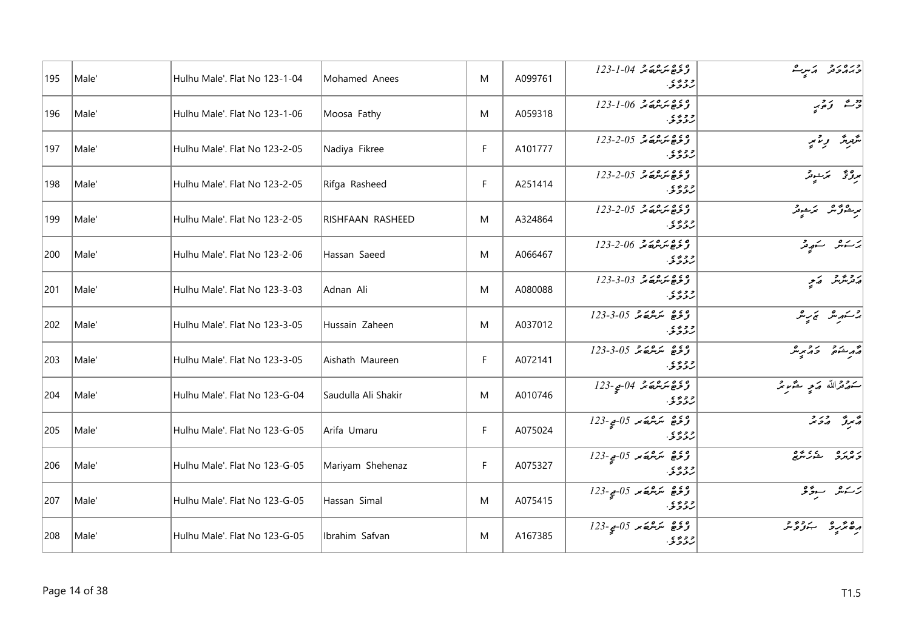| 195 | Male'     | Hulhu Male'. Flat No 123-1-04 | Mohamed Anees       | M  | A099761 | $123 - 1 - 04$ وقوع مربتر 123-1<br>و و و ي.<br>رندگرگر                                                                                    | وبرەرو كەيرى                      |
|-----|-----------|-------------------------------|---------------------|----|---------|-------------------------------------------------------------------------------------------------------------------------------------------|-----------------------------------|
| 196 | Male'     | Hulhu Male'. Flat No 123-1-06 | Moosa Fathy         | M  | A059318 | $123 - 1 - 06$ $222 - 222$<br>و و و ء .<br>رند <del>و</del> نو                                                                            | دو ده کره د                       |
| 197 | Male'     | Hulhu Male'. Flat No 123-2-05 | Nadiya Fikree       | F. | A101777 | $123 - 2 - 05$ $222 - 205$<br>و و و ي.<br>رند و تو .                                                                                      | يتعبثر وينمير                     |
| 198 | Male'     | Hulhu Male'. Flat No 123-2-05 | Rifga Rasheed       | F  | A251414 | $123 - 2 - 05$ $222 - 82$<br>و و و ي.<br>رند و گو.                                                                                        | برونژ بر <sub>شو</sub> ر          |
| 199 | Male'     | Hulhu Male'. Flat No 123-2-05 | RISHFAAN RASHEED    | M  | A324864 | $123 - 2 - 05$ $222 - 25$<br>ر و و ء .<br>رند <del>و</del> و .                                                                            | ىرىشۇ ھۇس ئىمە ئىشەقر             |
| 200 | Male'     | Hulhu Male'. Flat No 123-2-06 | Hassan Saeed        | M  | A066467 | و و م م م 2-2-23<br>ر و و ء .<br>رند <del>و</del> و .                                                                                     | يزكتان كتهافر                     |
| 201 | Male'     | Hulhu Male'. Flat No 123-3-03 | Adnan Ali           | M  | A080088 | و و م م م ده د 123-3-62<br>و و و ء .<br>رند <del>و</del> نو                                                                               | ە ئەر ئىگە ئەر ئە                 |
| 202 | $ $ Male' | Hulhu Male'. Flat No 123-3-05 | Hussain Zaheen      | M  | A037012 | <i>233-3-05</i> كرم 123-3-4<br>و و و ء .<br>رند <del>و</del> و .                                                                          | جاسكور محر يحرمنه                 |
| 203 | Male'     | Hulhu Male'. Flat No 123-3-05 | Aishath Maureen     | F  | A072141 | <b>123-3-05</b> مَرْسْهَة حَدْ<br>ر و و و .<br>رنگوری                                                                                     | أما مشكاته المتحرم والمحمد المحمد |
| 204 | $ $ Male' | Hulhu Male'. Flat No 123-G-04 | Saudulla Ali Shakir | M  | A010746 | و و و هر شهر 123-يې -123<br>و و و ي.<br>رندگرنو .                                                                                         | حقيقه الله ضعي حقومته             |
| 205 | Male'     | Hulhu Male'. Flat No 123-G-05 | Arifa Umaru         | F  | A075024 | $123 - 05$ مَرْسْمَة مِر $-05$ -مِ<br>و و و ي.<br>رنونوگو                                                                                 | ەئىرۇ مەدىر                       |
| 206 | Male'     | Hulhu Male'. Flat No 123-G-05 | Mariyam Shehenaz    | F  | A075327 | $123 - 05$ وَقَرْحَ سَرْسَمَتَ مَسْتَدَارِ مِنْ الْمَسْتَدَارِ مَسْتَدَارِ مَسْتَدَارِ $\frac{25}{3}$<br>و و و ء .<br>رند <del>و</del> نو | رەرە ئەرشى                        |
| 207 | $ $ Male' | Hulhu Male'. Flat No 123-G-05 | Hassan Simal        | M  | A075415 | $123 - 05$ وَوَحْعَ سَرَسْهَمَ $123 - 05$<br>و و و ي.<br>رندگرنو .                                                                        | ىز سىر ئىس سىر ئەشقە              |
| 208 | $ $ Male' | Hulhu Male'. Flat No 123-G-05 | Ibrahim Safvan      | M  | A167385 | $123 - 05$ وَكَرْهِ سَرْسُهَ مَدْ $95 - 123$<br>ر و و ء .<br>رند <del>و</del> و .                                                         | ەھترىرى سۆۋىتر                    |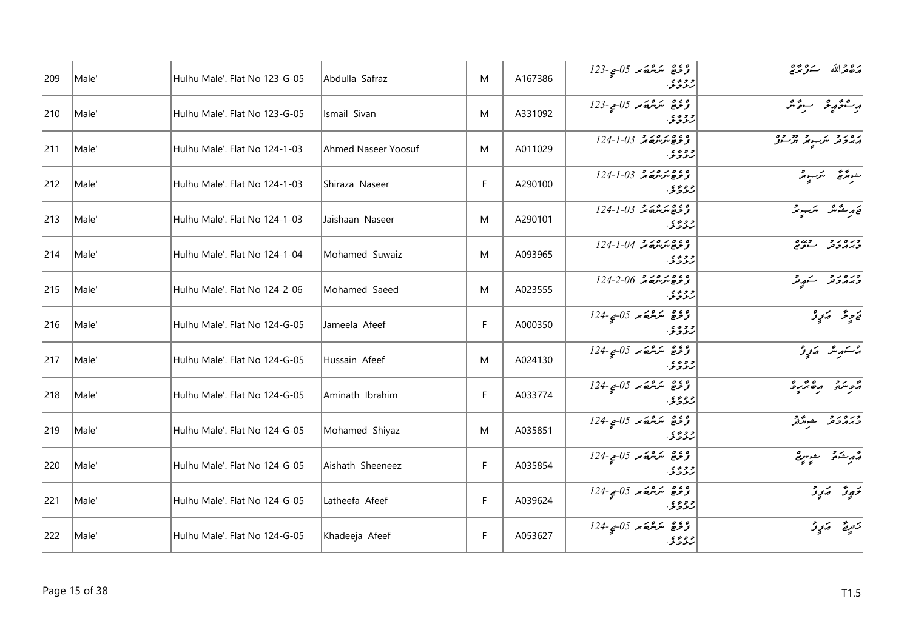| 209 | Male' | Hulhu Male'. Flat No 123-G-05 | Abdulla Safraz      | M           | A167386 | $123 - 05$ $\sim$ $\sim$ $95$<br>و و و ء .<br>رند <del>و</del> نو      | پرە قراللە كەر ئويترى                        |
|-----|-------|-------------------------------|---------------------|-------------|---------|------------------------------------------------------------------------|----------------------------------------------|
| 210 | Male' | Hulhu Male'. Flat No 123-G-05 | Ismail Sivan        | M           | A331092 | $123 - 05$ $\sim$ $\sim$ $\sim$ $95$<br>ج و بر ي.<br>رنگوري            | ر عۇرپۇ سۇس                                  |
| 211 | Male' | Hulhu Male'. Flat No 124-1-03 | Ahmed Naseer Yoosuf | M           | A011029 | $124 - 1 - 03$ $29.99$<br>و و و ء .<br>رندگرمو                         | גם גב תהיה ברי בס<br>הגבה תהיה ברי ת         |
| 212 | Male' | Hulhu Male'. Flat No 124-1-03 | Shiraza Naseer      | $\mathsf F$ | A290100 | $124 - 1 - 03$ $229 - 229$<br>و و و ء .<br>رند <del>و</del> نو         | شوندنج الترسونر                              |
| 213 | Male' | Hulhu Male'. Flat No 124-1-03 | Jaishaan Naseer     | M           | A290101 | $124 - 1 - 03$ $229 - 229$<br>و و و ء .<br>رو <del>ؤ</del> تو .        | قەرىشىش ئىزلىدىم                             |
| 214 | Male' | Hulhu Male'. Flat No 124-1-04 | Mohamed Suwaiz      | M           | A093965 | و و ع مر شهر 124-1-42<br>و و و ء .<br>رندگرنگ                          | ور ور و د و ده و م<br>تربر مرکز مسلومی       |
| 215 | Male' | Hulhu Male'. Flat No 124-2-06 | Mohamed Saeed       | ${\sf M}$   | A023555 | $124 - 2 - 06$ $222 - 82$<br>ر و و و .<br>رنگوری                       | ورەرو سەرو                                   |
| 216 | Male' | Hulhu Male'. Flat No 124-G-05 | Jameela Afeef       | $\mathsf F$ | A000350 | $124 - 05$ مَرْسْمَة مِر $124 - 05$<br><u>رووي.</u>                    | تخاويخ الكافي وهمي                           |
| 217 | Male' | Hulhu Male'. Flat No 124-G-05 | Hussain Afeef       | M           | A024130 | $124 - 05$ وَقَوْعِ سَرْسَمَة مِنْ $124 - 05$<br><u>رووي.</u>          | يز سكر مكر و كر و حر                         |
| 218 | Male' | Hulhu Male'. Flat No 124-G-05 | Aminath Ibrahim     | F           | A033774 | $124 - 05$ مَرْسْهَم $-05$ -وِ $-124$<br>ر و و و .<br>رنگوری           | أأدجن المتعاديد                              |
| 219 | Male' | Hulhu Male'. Flat No 124-G-05 | Mohamed Shiyaz      | M           | A035851 | $124 - 05$ مَرْسْمَة مِر $124 - 05$<br>ج و بر ي.<br>رنگوري             | ورەرو ھەدۇر<br><i>وبە</i> رونر ھەد <i>ۇر</i> |
| 220 | Male' | Hulhu Male'. Flat No 124-G-05 | Aishath Sheeneez    | F           | A035854 | $124$ وَوْعْ سَرْسْهَمْ 95-فِي-124<br><u>رووي.</u>                     | و<br>در شوم شوسرچ                            |
| 221 | Male' | Hulhu Male'. Flat No 124-G-05 | Latheefa Afeef      | F           | A039624 | $124$ وكوفي سكر الكريم كالمستعمر $05$ -في<br>ر و و و .<br>رنگوری       | كجيجو كالمحافي وحمي                          |
| 222 | Male' | Hulhu Male'. Flat No 124-G-05 | Khadeeja Afeef      | $\mathsf F$ | A053627 | $124$ وكوه سَرْسْهَ مَدَا- فِي-124<br>و و و ء .<br>رند <del>و</del> نو | زَمِيعٌ صَ وَلَا                             |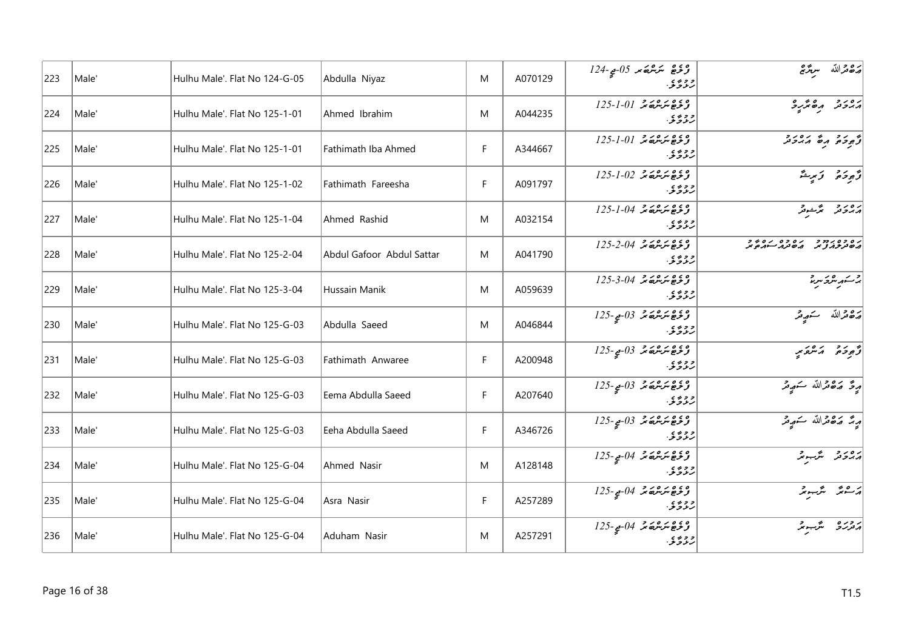| 223 | Male' | Hulhu Male'. Flat No 124-G-05 | Abdulla Niyaz             | M           | A070129 | $124$ - وكرم مكر سكر 124- ويد 124<br>و و و ء .<br>رند <del>و</del> نو               | رەقراللە سەرگى                                      |
|-----|-------|-------------------------------|---------------------------|-------------|---------|-------------------------------------------------------------------------------------|-----------------------------------------------------|
| 224 | Male' | Hulhu Male'. Flat No 125-1-01 | Ahmed Ibrahim             | M           | A044235 | $125 - 1 - 01$<br>ر و و ء .<br>رند <del>و</del> نو                                  | גפני גם ביב                                         |
| 225 | Male' | Hulhu Male'. Flat No 125-1-01 | Fathimath Iba Ahmed       | F           | A344667 | $125 - 1 - 01$<br><u>رووي.</u>                                                      | توجوجو مقدمته                                       |
| 226 | Male' | Hulhu Male'. Flat No 125-1-02 | Fathimath Fareesha        | F           | A091797 | $125 - 1 - 02$ وَقَوْمٍ عَبْرَ هُمَدَ مِنْ 1-02<br>و و و ء .<br>رند <del>و</del> نو | أزّودَه زَبِيشًا                                    |
| 227 | Male' | Hulhu Male'. Flat No 125-1-04 | Ahmed Rashid              | M           | A032154 | و د م 1-04 - 125 - 125<br>ر و و ء .<br>رند <del>و</del> نو                          | رەرو ئەسىر                                          |
| 228 | Male' | Hulhu Male'. Flat No 125-2-04 | Abdul Gafoor Abdul Sattar | M           | A041790 | ووم شر <i>مغة بل 2-2-211</i><br><u>رووي.</u>                                        | נסכסנמכ נסכס נסטכ<br>גםנק <i>ב</i> ג צים גםנג אינטר |
| 229 | Male' | Hulhu Male'. Flat No 125-3-04 | Hussain Manik             | M           | A059639 | و و م مره د چې 125-3-04<br>و و و ء .<br>رند <del>و</del> نو                         | جر سے مریکر شریفہ                                   |
| 230 | Male' | Hulhu Male'. Flat No 125-G-03 | Abdulla Saeed             | M           | A046844 | و و و هر شهر 125-يې-125<br>و و و ء .<br>رند <del>و</del> نو                         | رەقمەللە خەرىم                                      |
| 231 | Male' | Hulhu Male'. Flat No 125-G-03 | Fathimath Anwaree         | F           | A200948 | و ۽ وير مريد ڪاري -125<br>و و و ء .<br>رو <del>ؤ</del> تو .                         | توجدة المتفقي                                       |
| 232 | Male' | Hulhu Male'. Flat No 125-G-03 | Eema Abdulla Saeed        | $\mathsf F$ | A207640 | و و و هر سر ه دي 3 -125<br>و و و ء .<br>رند <del>و</del> نو                         | أُمرِيَّ مَرْحَدْرَاللَّهُ سَمَّدٍ مِّرْ            |
| 233 | Male' | Hulhu Male'. Flat No 125-G-03 | Eeha Abdulla Saeed        | F           | A346726 | و و و ه سره محمد 03-مي-125<br>و و و ء .<br>رند <del>و</del> و .                     | ويد و ده قرالله سوړ قر                              |
| 234 | Male' | Hulhu Male'. Flat No 125-G-04 | Ahmed Nasir               | M           | A128148 | و و م م م م م بالسيار 125-<br>و و و ء .<br>رندگرنگ                                  | رەرد شبەتر                                          |
| 235 | Male' | Hulhu Male'. Flat No 125-G-04 | Asra Nasir                | $\mathsf F$ | A257289 | و و م مركز 125-يو-125<br>و و و ي.<br>رنونوگو                                        | ى سىر ئىسىر                                         |
| 236 | Male' | Hulhu Male'. Flat No 125-G-04 | Aduham Nasir              | M           | A257291 | وْ وْ وْ هْشْمْ 70-ي -125<br>و و و ء .<br>رند <del>و</del> نو                       | روره شهوتر                                          |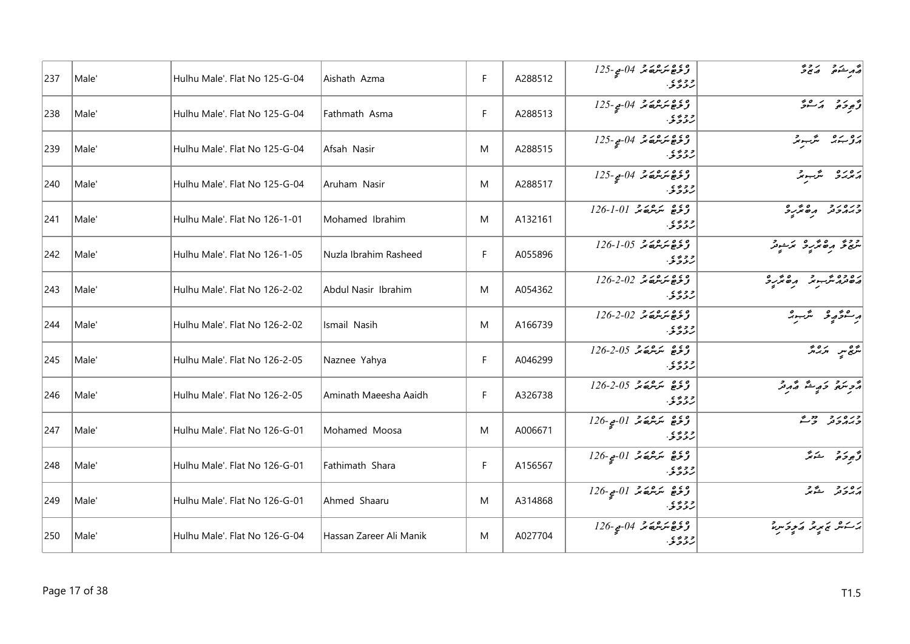| 237 | Male' | Hulhu Male'. Flat No 125-G-04 | Aishath Azma            | F           | A288512 | و و م مرمور 125-يو -125<br>و و و ي.<br>رنونوگو .                                | أوجم مشتموه أوروائه                    |
|-----|-------|-------------------------------|-------------------------|-------------|---------|---------------------------------------------------------------------------------|----------------------------------------|
| 238 | Male' | Hulhu Male'. Flat No 125-G-04 | Fathmath Asma           | $\mathsf F$ | A288513 | و ۽ وير مريج پر -125 ج<br>ر د و و .<br>رند و تو .                               | وٌ پره پره و                           |
| 239 | Male' | Hulhu Male'. Flat No 125-G-04 | Afsah Nasir             | M           | A288515 | و و و ه مرمور چ -125 [<br>و و و ء .<br>رندگرنگ                                  | رەپرە شەير                             |
| 240 | Male' | Hulhu Male'. Flat No 125-G-04 | Aruham Nasir            | M           | A288517 | و و و هر سر ه دي -125 [<br>ر و و و .<br>رنگوری                                  | رەرە شەر                               |
| 241 | Male' | Hulhu Male'. Flat No 126-1-01 | Mohamed Ibrahim         | M           | A132161 | $126 - 1 - 01$ $222 - 22$<br>و و و ء .<br>رو <del>ؤ</del> تو .                  |                                        |
| 242 | Male' | Hulhu Male'. Flat No 126-1-05 | Nuzla Ibrahim Rasheed   | F           | A055896 | $126 - 1 - 05$ $222 - 25$<br>و و و ء .<br>رندگرنگ                               | ترج ثم أرەڭزىر ئىسىر ئىر               |
| 243 | Male' | Hulhu Male'. Flat No 126-2-02 | Abdul Nasir Ibrahim     | M           | A054362 | $126 - 2 - 02$ $222 - 22$<br>و و و ي.<br>رندگرنو .                              | גם כם מ- ב"ב" הם מניב                  |
| 244 | Male' | Hulhu Male'. Flat No 126-2-02 | Ismail Nasih            | M           | A166739 | $126 - 2 - 02$ $222 - 202$<br>ر و و ي.<br>رند <del>و</del> نو                   | رەشۇر ئەسىر                            |
| 245 | Male' | Hulhu Male'. Flat No 126-2-05 | Naznee Yahya            | F.          | A046299 | $126 - 2 - 05$ $\frac{2}{3}$ $\frac{6}{3}$<br>333ع.<br>رنم <b>و</b> څو          | سَّنَجْ سِنَ الْأَبْدَادُّ             |
| 246 | Male' | Hulhu Male'. Flat No 126-2-05 | Aminath Maeesha Aaidh   | F           | A326738 | $126 - 2 - 05$ $\frac{2}{3}$ $\frac{6}{3}$ $\frac{6}{3}$<br>ر و و و .<br>رنگوری | أأوسم وأراث أأرقر                      |
| 247 | Male' | Hulhu Male'. Flat No 126-G-01 | Mohamed Moosa           | M           | A006671 | $126 - 01$ مَرْسَعَة مَدْ $10 - 126$<br>و و و ي.<br>رنونونو .                   | ورەر دور                               |
| 248 | Male' | Hulhu Male'. Flat No 126-G-01 | Fathimath Shara         | F.          | A156567 | $126 - 01$ $26 - 01$<br>ر و و و .<br>رند <del>و</del> و .                       | وٌمُوحَمٌ شَهَرٌ                       |
| 249 | Male' | Hulhu Male'. Flat No 126-G-01 | Ahmed Shaaru            | M           | A314868 | $126$ - مَرْسَعَة مِنْ $01$ - مِي<br>و و و ي.<br>رنونونو .                      | رەرو ئەچ                               |
| 250 | Male' | Hulhu Male'. Flat No 126-G-04 | Hassan Zareer Ali Manik | M           | A027704 | ووم مرمدة 126-م -126<br>و و و ء .<br>رنو څرنگ                                   | يُسكس لا لا يُرِيدُ الْمُتَوِجَةِ مِنْ |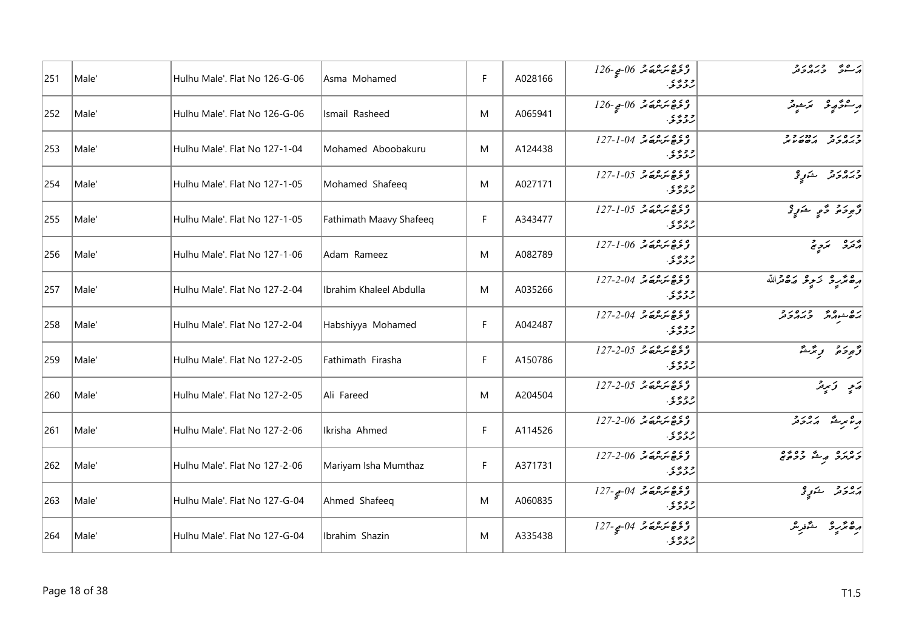| 251 | Male' | Hulhu Male'. Flat No 126-G-06 | Asma Mohamed            | F | A028166 | وْ وْ ھْ سَرْ سْرْ ھَ سْ - 126 _ 126<br>و و و ي.<br>رنونونو .                    | و ره ر و<br>تر <i>د</i> کر<br>رَشق                      |
|-----|-------|-------------------------------|-------------------------|---|---------|----------------------------------------------------------------------------------|---------------------------------------------------------|
| 252 | Male' | Hulhu Male'. Flat No 126-G-06 | Ismail Rasheed          | M | A065941 | $126$ - مِنْ مِنْ $66$ - مِنْ -126<br>و و و ء .<br>رو <del>و</del> و .           | ر عۇرو ترجو                                             |
| 253 | Male' | Hulhu Male'. Flat No 127-1-04 | Mohamed Aboobakuru      | M | A124438 | و و م م م 1-1-127<br><u>رووي.</u>                                                | כנסנכ נחנכב<br>בגתכת תםסטית                             |
| 254 | Male' | Hulhu Male'. Flat No 127-1-05 | Mohamed Shafeeq         | M | A027171 | $127 - 1 - 05$ $222 - 95$<br>و و و ء .<br>رند <del>و</del> و .                   | ورەر ئۇرۇ                                               |
| 255 | Male' | Hulhu Male'. Flat No 127-1-05 | Fathimath Maavy Shafeeq | F | A343477 | $127 - 1 - 05$ $222 - 25$<br><u>رووي.</u>                                        | أَرْجُوحَ جَمَّ حَمْرٍ وَ                               |
| 256 | Male' | Hulhu Male'. Flat No 127-1-06 | Adam Rameez             | M | A082789 | $127 - 1 - 06$ $32 - 22$<br><u>رووي.</u>                                         | پر ده پر پر د                                           |
| 257 | Male' | Hulhu Male'. Flat No 127-2-04 | Ibrahim Khaleel Abdulla | M | A035266 | وء ۾ مرمور 2-04-127<br>و و و ء .<br>رند <del>و</del> و .                         | رەمگەي ئىچە كەھىراللە                                   |
| 258 | Male' | Hulhu Male'. Flat No 127-2-04 | Habshiyya Mohamed       | F | A042487 | و و م مرد م بر 2-04-127<br><u>رووي.</u>                                          | ره دره دره در د                                         |
| 259 | Male' | Hulhu Male'. Flat No 127-2-05 | Fathimath Firasha       | F | A150786 | $127 - 2 - 05$ وَوَقَعَ سَرْسَرَ صَعَبَرَ<br>و و و ء .<br>رند <del>و</del> نو    | أزّودَه ويرّث                                           |
| 260 | Male' | Hulhu Male'. Flat No 127-2-05 | Ali Fareed              | M | A204504 | $127 - 2 - 05$ وَوَقَعَ سَرْسَرَ صَعَبَرَ<br>و و و ء .<br>رند <del>و</del> نو    | أة يحتج وتمويتر                                         |
| 261 | Male' | Hulhu Male'. Flat No 127-2-06 | Ikrisha Ahmed           | F | A114526 | $127 - 2 - 06$ وَوْج<br>و و و ء .<br>رو <del>ؤ</del> تو .                        | أرع بريش كالمروار و                                     |
| 262 | Male' | Hulhu Male'. Flat No 127-2-06 | Mariyam Isha Mumthaz    | F | A371731 | $127 - 2 - 06$ وَوَقَعَ سَرْسَرَ صَعَبَرَ $127 - 2 - 06$<br>و و و ء .<br>رندگرنگ | رەرە مەش دەپەە<br>دىمەرك <sub>ە</sub> مەش <i>دەپە</i> ي |
| 263 | Male' | Hulhu Male'. Flat No 127-G-04 | Ahmed Shafeeq           | M | A060835 | و و و هر شهر 127-يې-127<br>و و و ي.<br>رندگرنگ                                   | رەر ئىرو                                                |
| 264 | Male' | Hulhu Male'. Flat No 127-G-04 | Ibrahim Shazin          | M | A335438 | و و و هر سر دي 127-يې-127<br>ر و و ء .<br>رند <del>و</del> و .                   | رەنۇر ئۇرىر                                             |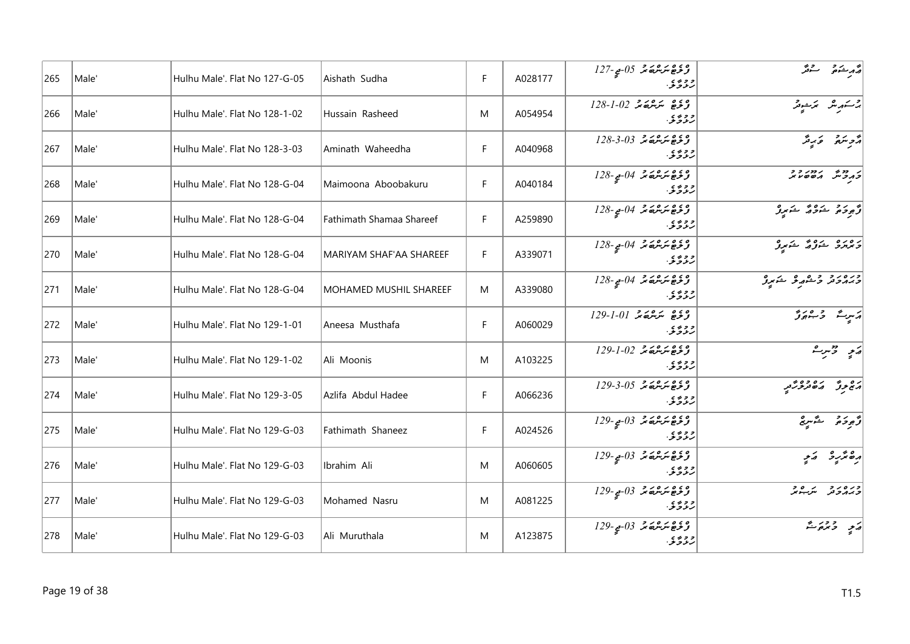| 265 | Male' | Hulhu Male'. Flat No 127-G-05 | Aishath Sudha            | F           | A028177 | و و م شر <i>هه بر</i> ه 125-يو -127<br>و و و ء .<br>رنونوگو                          |                           |
|-----|-------|-------------------------------|--------------------------|-------------|---------|--------------------------------------------------------------------------------------|---------------------------|
| 266 | Male' | Hulhu Male'. Flat No 128-1-02 | Hussain Rasheed          | M           | A054954 | $128 - 1 - 02$ $222 - 22$<br>و و و ء .<br>رند <del>و</del> و .                       | ر<br>رئام شر مرداری       |
| 267 | Male' | Hulhu Male'. Flat No 128-3-03 | Aminath Waheedha         | F           | A040968 | $128 - 3 - 03$ $222 - 3$<br>333ع.<br>رنم <b>ر</b> ئر                                 | أزويته وبابتر             |
| 268 | Male' | Hulhu Male'. Flat No 128-G-04 | Maimoona Aboobakuru      | $\mathsf F$ | A040184 | ووم شركة عن 128- في -128<br>333ع.<br>رنم <b>ر</b> ئر                                 | 22/22/2                   |
| 269 | Male' | Hulhu Male'. Flat No 128-G-04 | Fathimath Shamaa Shareef | F           | A259890 | و ۽ وير وي جي -128-<br>333ع.<br>مرکو <del>گر</del>                                   | توجوحو شوحرها الشميرو     |
| 270 | Male' | Hulhu Male'. Flat No 128-G-04 | MARIYAM SHAF'AA SHAREEF  | F           | A339071 | و ۽ وير مرڪز -04-ي-128<br>و و و ء .<br>رند <del>و</del> و .                          | رەرە خور خور              |
| 271 | Male' | Hulhu Male'. Flat No 128-G-04 | MOHAMED MUSHIL SHAREEF   | M           | A339080 | و و و هر سر سر 128- ميلي 128-<br>ر و و ء .<br>رند <del>و</del> و .                   | ورەرو ويھرو شهرو          |
| 272 | Male' | Hulhu Male'. Flat No 129-1-01 | Aneesa Musthafa          | F           | A060029 | <b>129-1-01</b> كَرْجْمِعْ بِرْسْمَة مِنْ 129-1<br>و و و ء .<br>رند <del>و</del> و . | ړس شه د ۱۵۰۶              |
| 273 | Male' | Hulhu Male'. Flat No 129-1-02 | Ali Moonis               | M           | A103225 | $129 - 1 - 02$ $222 - 92$<br>و و و ي.<br>رنگوري                                      | أركموا المحسر المحمد      |
| 274 | Male' | Hulhu Male'. Flat No 129-3-05 | Azlifa Abdul Hadee       | F           | A066236 | ووم شرش 129-3-05<br>ر و و و .<br>رند <del>و</del> تو .                               | رو در ده دورور            |
| 275 | Male' | Hulhu Male'. Flat No 129-G-03 | Fathimath Shaneez        | F           | A024526 | و و م م م م بالا بي -129<br>و و و ء .<br>رنو <del>و</del> نو                         | أَرْجُوحَ هُمْ يَدُّسِيَّ |
| 276 | Male' | Hulhu Male'. Flat No 129-G-03 | Ibrahim Ali              | M           | A060605 | و و م مركز 129-يې-129<br>و و و ي.<br>رنونوگو                                         | رە ئرىر ئىسىم             |
| 277 | Male' | Hulhu Male'. Flat No 129-G-03 | Mohamed Nasru            | M           | A081225 | ووم شركة محمد 03-مي-129<br>و و و ء .<br>رند <del>و</del> نو .                        | ورەرو شەھ                 |
| 278 | Male' | Hulhu Male'. Flat No 129-G-03 | Ali Muruthala            | M           | A123875 | ووقع مرمكة كى 03-يى-129<br>ر د وي.<br>رندگ <b>ر</b>                                  | أرمو وحركم يحي            |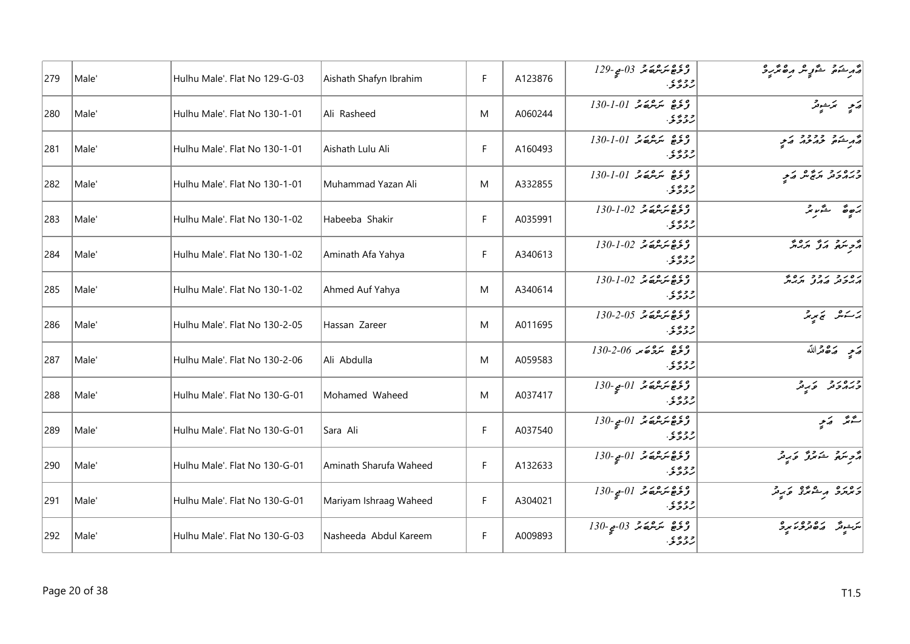| 279 | Male'     | Hulhu Male'. Flat No 129-G-03 | Aishath Shafyn Ibrahim | F.          | A123876 | وْ وْ ھْ سَرْ سْرْعَة سْ - 129 – 129<br>و و و ي.<br>رنونوگو                       | مەر خەر خۇر شەھ بر ھ                                                                                                                                                                                                                                                                                                                                                                                                                  |
|-----|-----------|-------------------------------|------------------------|-------------|---------|-----------------------------------------------------------------------------------|---------------------------------------------------------------------------------------------------------------------------------------------------------------------------------------------------------------------------------------------------------------------------------------------------------------------------------------------------------------------------------------------------------------------------------------|
| 280 | $ $ Male' | Hulhu Male'. Flat No 130-1-01 | Ali Rasheed            | M           | A060244 | $130 - 1 - 01$ $222 - 222$<br>ر و و د ي.<br>رنگوري                                | أةكمني المخرجين                                                                                                                                                                                                                                                                                                                                                                                                                       |
| 281 | Male'     | Hulhu Male'. Flat No 130-1-01 | Aishath Lulu Ali       | F           | A160493 | $130 - 1 - 01$ $222 - 22$<br>333ع.<br>رنم <b>و</b> څو                             | أشهر مدد ودود أيجمع                                                                                                                                                                                                                                                                                                                                                                                                                   |
| 282 | Male'     | Hulhu Male'. Flat No 130-1-01 | Muhammad Yazan Ali     | M           | A332855 | $130 - 1 - 01$ $222 - 22$<br>ر و و و .<br>رنگوری                                  | وره رو روه مرکز                                                                                                                                                                                                                                                                                                                                                                                                                       |
| 283 | Male'     | Hulhu Male'. Flat No 130-1-02 | Habeeba Shakir         | F           | A035991 | $130 - 1 - 02$ $222 - 82$<br>ر د و و ،<br>رند و تو .                              | $\begin{array}{ccccc}\n\mathbf{1} & \mathbf{1} & \mathbf{1} & \mathbf{1} & \mathbf{1} \\ \mathbf{1} & \mathbf{1} & \mathbf{1} & \mathbf{1} & \mathbf{1} \\ \mathbf{1} & \mathbf{1} & \mathbf{1} & \mathbf{1} & \mathbf{1} \\ \mathbf{1} & \mathbf{1} & \mathbf{1} & \mathbf{1} & \mathbf{1} \\ \mathbf{1} & \mathbf{1} & \mathbf{1} & \mathbf{1} & \mathbf{1} \\ \mathbf{1} & \mathbf{1} & \mathbf{1} & \mathbf{1} & \mathbf{1} \\ \$ |
| 284 | Male'     | Hulhu Male'. Flat No 130-1-02 | Aminath Afa Yahya      | F.          | A340613 | $130 - 1 - 02$ $222 - 82$<br>ر و و و .<br>رند <del>و</del> ک                      | أأرو سرو المره والمحمد                                                                                                                                                                                                                                                                                                                                                                                                                |
| 285 | $ $ Male' | Hulhu Male'. Flat No 130-1-02 | Ahmed Auf Yahya        | M           | A340614 | $130 - 1 - 02$ $222 - 82$<br>و و و ي.<br>رندگرنو .                                | גם ג' ד ד ג' ד ג' ד ג'.<br>ג' ג' ד ג' ד ג' ד ג'.                                                                                                                                                                                                                                                                                                                                                                                      |
| 286 | $ $ Male' | Hulhu Male'. Flat No 130-2-05 | Hassan Zareer          | M           | A011695 | $130 - 2 - 05$ $222 - 25$<br>و و و ء .<br>رند <del>و</del> نو                     | ىرىسىس ئىمبرىم                                                                                                                                                                                                                                                                                                                                                                                                                        |
| 287 | Male'     | Hulhu Male'. Flat No 130-2-06 | Ali Abdulla            | M           | A059583 | $130-2-06$ $x \in \mathbb{R}^2$<br>333ع.<br>رنم <b>و</b> څو                       | أقدمي فاقاقلته                                                                                                                                                                                                                                                                                                                                                                                                                        |
| 288 | Male'     | Hulhu Male'. Flat No 130-G-01 | Mohamed Waheed         | M           | A037417 | وْ وْ وْ مْرْ مْرْهَةْ 130-يى-130<br>و و و ي.<br>رند و تو .                       | ورەر ئەرگە                                                                                                                                                                                                                                                                                                                                                                                                                            |
| 289 | Male'     | Hulhu Male'. Flat No 130-G-01 | Sara Ali               | F           | A037540 | $130 - 01$ كَرْمُوهُ مَرْسُمَة مَرْ $10 - 0$<br>ر و و و .<br>رند <del>و</del> و . | الشتمر الأمير                                                                                                                                                                                                                                                                                                                                                                                                                         |
| 290 | $ $ Male' | Hulhu Male'. Flat No 130-G-01 | Aminath Sharufa Waheed | $\mathsf F$ | A132633 | $130 - 01$ وَحَوْمٍ سَرْسَمَةٍ $01 - 0$<br>ر و و و .<br>رند <del>و</del> و .      | أأأد بترة الشادقي أوارد                                                                                                                                                                                                                                                                                                                                                                                                               |
| 291 | Male'     | Hulhu Male'. Flat No 130-G-01 | Mariyam Ishraag Waheed | F.          | A304021 | و و م م م م الكام المعادا<br>و و و ي.<br>رنونونو .                                | و وره مشر و د و د                                                                                                                                                                                                                                                                                                                                                                                                                     |
| 292 | $ $ Male' | Hulhu Male'. Flat No 130-G-03 | Nasheeda Abdul Kareem  | F           | A009893 | $130$ - وَحْرَمِ مَرْسَمَة حَمَّد $03-$ وِ $-130$<br>و و و ء .<br>رند و تو .      | سكيفيتش الماه وه دارا و                                                                                                                                                                                                                                                                                                                                                                                                               |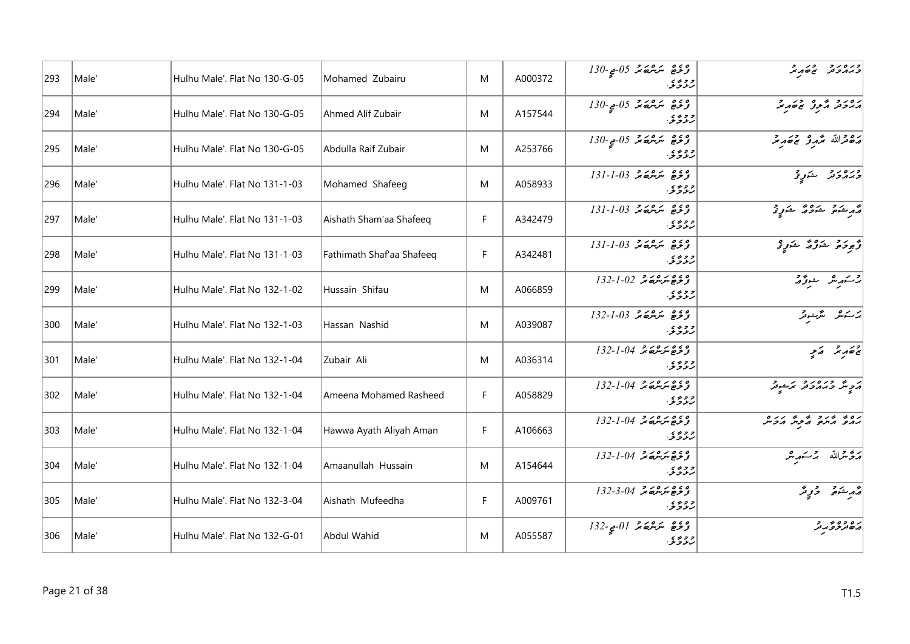| 293 | Male'     | Hulhu Male'. Flat No 130-G-05 | Mohamed Zubairu           | M  | A000372 | $130 - 05$ $222 - 05$<br>ر و و و .<br>رنگوری                              | כנסני הבית                     |
|-----|-----------|-------------------------------|---------------------------|----|---------|---------------------------------------------------------------------------|--------------------------------|
| 294 | Male'     | Hulhu Male'. Flat No 130-G-05 | Ahmed Alif Zubair         | M  | A157544 | $130$ - وَمَعْ صَرْحَمَة مِنْ $05$ - مِي<br><u>رووي.</u>                  | גפגב הציר הסתיב                |
| 295 | Male'     | Hulhu Male'. Flat No 130-G-05 | Abdulla Raif Zubair       | M  | A253766 | $130 - 05$ $222 - 05$<br>ج و بر ي.<br>رنگوري                              | رە داللە بر دو مەھ بر          |
| 296 | Male'     | Hulhu Male'. Flat No 131-1-03 | Mohamed Shafeeg           | M  | A058933 | <i>ووق سكره قر 131-1-131</i><br>ر و و و .<br>رند <del>و</del> و .         | ورەر د شرژ                     |
| 297 | Male'     | Hulhu Male'. Flat No 131-1-03 | Aishath Sham'aa Shafeeq   | F. | A342479 | <i>131-1-03 دُمُهَمَّد</i> 131-1-13<br>ج و بر ي.<br>رنگوري                | أمام المستوفي المستوريج        |
| 298 | Male'     | Hulhu Male'. Flat No 131-1-03 | Fathimath Shaf'aa Shafeeq | F. | A342481 | ووه شرق 131-1-03<br>و و و ء .<br>رندگرنگ                                  | أَرْجِعَةً حَوْرَةً حَتَّرٍ وَ |
| 299 | Male'     | Hulhu Male'. Flat No 132-1-02 | Hussain Shifau            | M  | A066859 | $132 - 1 - 02$ وَقَوْمِ هُمْ سَمْعَةً<br>و و و ء .<br>رند <del>و</del> نو | بر کے مریش شوڑ م               |
| 300 | Male'     | Hulhu Male'. Flat No 132-1-03 | Hassan Nashid             | M  | A039087 | $132 - 1 - 03$ $222 - 1 - 03$<br><u>رووي.</u>                             | ىز سىكىش ئىگە ئىشلىقى          |
| 301 | $ $ Male' | Hulhu Male'. Flat No 132-1-04 | Zubair Ali                | M  | A036314 | و و م م م 132-1-23<br>و و و ء .<br>رند <del>و</del> نو                    | ة قام محمد محمد                |
| 302 | Male'     | Hulhu Male'. Flat No 132-1-04 | Ameena Mohamed Rasheed    | F. | A058829 | و و ع مر شهر 132-1-23<br>و و و ء .<br>رند <del>و</del> نو                 | ړَ پر در دره کر کرشونز         |
| 303 | Male'     | Hulhu Male'. Flat No 132-1-04 | Hawwa Ayath Aliyah Aman   | F  | A106663 | و و م مر م م 1-04-132<br>و و و ء .<br>رو <del>ؤ</del> تو .                | גם זיג זיג זיגם                |
| 304 | Male'     | Hulhu Male'. Flat No 132-1-04 | Amaanullah Hussain        | M  | A154644 | و و ع مر شهر 132-1-23<br>و و و ء .<br>رند <del>و</del> نو                 | برؤ بترالله برسكور بثر         |
| 305 | $ $ Male' | Hulhu Male'. Flat No 132-3-04 | Aishath Mufeedha          | F. | A009761 | و و م مره د چې 132-3-4<br>و و و ي.<br>رندگرنو .                           | ړ د شکاه د وړ تگر              |
| 306 | $ $ Male' | Hulhu Male'. Flat No 132-G-01 | Abdul Wahid               | M  | A055587 | $132 - 01$ $2\sqrt{2}$ $2\sqrt{2}$<br>ر و و و .<br>رند <del>و</del> و .   | ر ه د ه و بر د<br>پره تر تر تر |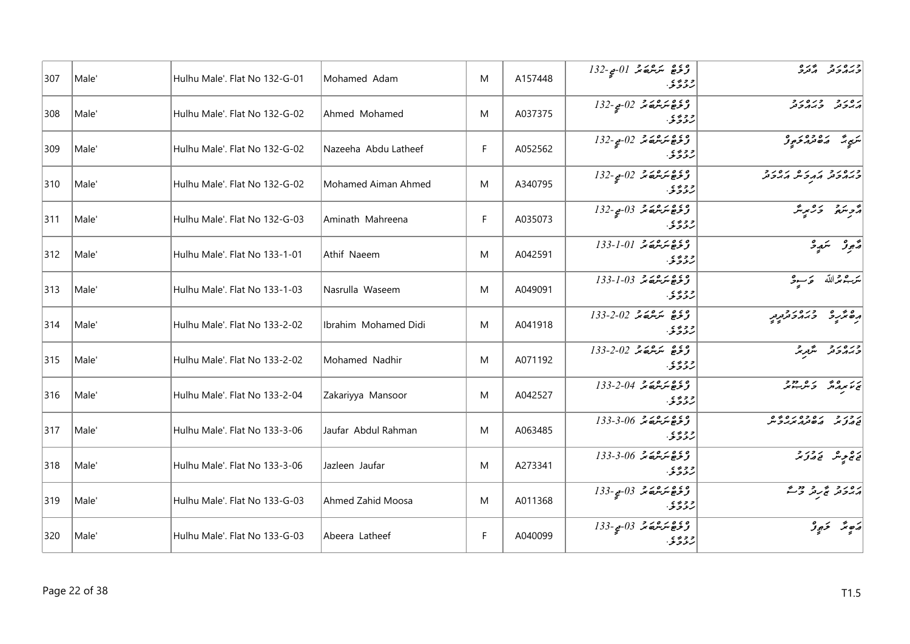| 307   | Male' | Hulhu Male'. Flat No 132-G-01 | Mohamed Adam         | M | A157448 | وْ دْعْ سْرْسْمَةْ 10-يې-132<br>ر و و و .<br>رنگوری          | وره رو وره<br><i>وب</i> رمرونر م <i>ر</i> ترو |
|-------|-------|-------------------------------|----------------------|---|---------|--------------------------------------------------------------|-----------------------------------------------|
| 308   | Male' | Hulhu Male'. Flat No 132-G-02 | Ahmed Mohamed        | M | A037375 | و ۽ وير مريد ڪاري -132<br><u>رووي.</u>                       | נפנד בנסנד<br>גיבת בייתכת                     |
| 309   | Male' | Hulhu Male'. Flat No 132-G-02 | Nazeeha Abdu Latheef | F | A052562 | و و و ه سر سر دي ح 132- 132<br><u>رووي.</u>                  | سَمِيدٌ مەھىرمۇمۇر                            |
| 310   | Male' | Hulhu Male'. Flat No 132-G-02 | Mohamed Aiman Ahmed  | M | A340795 | وْ وْ وْ هْرْ مْرْ ھْ مْرْ - 132 [<br>ر و و د ي.<br>رنگوري   | כנסגב ג'קבית המכת                             |
| $311$ | Male' | Hulhu Male'. Flat No 132-G-03 | Aminath Mahreena     | F | A035073 | و و م م م م بالا الله عبد 132-<br>و و و ء .<br>رو و و .      | أأدوسي ورميد                                  |
| 312   | Male' | Hulhu Male'. Flat No 133-1-01 | Athif Naeem          | M | A042591 | ووع مر مصر 133-1-133<br><u>رووي.</u>                         | أشجو تتمدح                                    |
| 313   | Male' | Hulhu Male'. Flat No 133-1-03 | Nasrulla Waseem      | M | A049091 | و و م مريد 133-1-133<br>و و و ء .<br>رند <del>و</del> نو     | ىتربىق تدالله كاسوقر                          |
| 314   | Male' | Hulhu Male'. Flat No 133-2-02 | Ibrahim Mohamed Didi | M | A041918 | <b>133-2-02</b> مَرْسُ قَصْدُ 2-2-133<br><u>رووي.</u>        |                                               |
| 315   | Male' | Hulhu Male'. Flat No 133-2-02 | Mohamed Nadhir       | M | A071192 | ووه شهده 2-2-33 / 133-2<br>و و و ء .<br>رند <del>و</del> نو  | ورەرو شرىر                                    |
| 316   | Male' | Hulhu Male'. Flat No 133-2-04 | Zakariyya Mansoor    | M | A042527 | و و م مركز 2-04 -133<br>و و و ء .<br>رند <del>و</del> نو     | גג פי גם מיני                                 |
| 317   | Male' | Hulhu Male'. Flat No 133-3-06 | Jaufar Abdul Rahman  | M | A063485 | و و م م م م د 133-3-62<br>و و و ء .<br>رو <del>ؤ</del> تو .  | קרק קסרסקסקס<br>במציג מסינומינגליינ           |
| 318   | Male' | Hulhu Male'. Flat No 133-3-06 | Jazleen Jaufar       | M | A273341 | و و م م م د 133-3-62<br>و و و ء .<br>رندگرنگ                 | ي چې چې سر د کار کړ                           |
| 319   | Male' | Hulhu Male'. Flat No 133-G-03 | Ahmed Zahid Moosa    | M | A011368 | و و و هر شهر 133-مې -133<br>و و و ي.<br>رندگرنگ              | ړه د د ځريز وقت                               |
| 320   | Male' | Hulhu Male'. Flat No 133-G-03 | Abeera Latheef       | F | A040099 | و و و هر شهر 133-مې -133<br>و و و ء .<br>رند <del>و</del> نو | ړُهِ پَه دَوِرْ                               |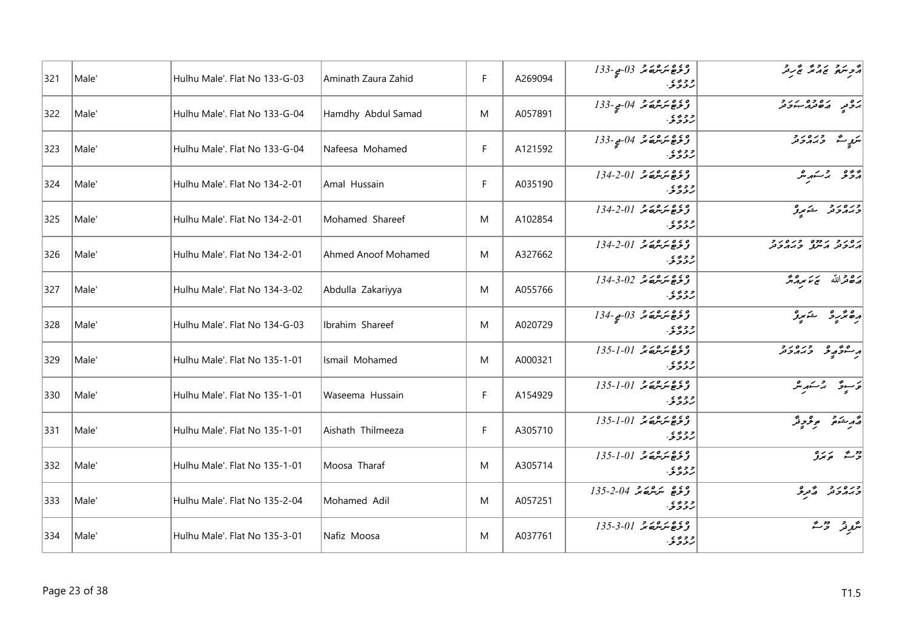| 321 | Male' | Hulhu Male'. Flat No 133-G-03 | Aminath Zaura Zahid | F           | A269094 | وْ وْ هِ مُرْسُمْ قْدْ 133- وْ 133<br>و و و ي.<br>رنونوگو .   | أأدوسه وأراد المحارقه                                |
|-----|-------|-------------------------------|---------------------|-------------|---------|---------------------------------------------------------------|------------------------------------------------------|
| 322 | Male' | Hulhu Male'. Flat No 133-G-04 | Hamdhy Abdul Samad  | M           | A057891 | و و و مرمور چ -133<br>ر و و ي.<br>رندگرنو                     | גם גם כם גגב                                         |
| 323 | Male' | Hulhu Male'. Flat No 133-G-04 | Nafeesa Mohamed     | F           | A121592 | و ۽ وير مهر پر 133-يع-133<br>ج و بر ي.<br>رنگوري              | سَموِے دیہ دیا                                       |
| 324 | Male' | Hulhu Male'. Flat No 134-2-01 | Amal Hussain        | F           | A035190 | و د م مرد م د 134-2-01<br>و و و ء .<br>رند <del>و</del> نو    | ە ئۇ بار ئىر ئىر                                     |
| 325 | Male' | Hulhu Male'. Flat No 134-2-01 | Mohamed Shareef     | M           | A102854 | و د م مرد م د 134-2-01<br><u>رووي.</u>                        | ورەرو شەرو                                           |
| 326 | Male' | Hulhu Male'. Flat No 134-2-01 | Ahmed Anoof Mohamed | M           | A327662 | ووم شر <i>هغة</i> 134-2-01<br><u>رووي.</u>                    | ג סג כ"ג מס"ך בג סג כ"<br>ה' גב ב"ק ה" ע"ק ב ג' הב"ב |
| 327 | Male' | Hulhu Male'. Flat No 134-3-02 | Abdulla Zakariyya   | M           | A055766 | و د م مره د ح د 134-3-02<br>و و و ء .<br>رند <del>و</del> نو  | أرەقمەللە ئىمكىر مەر                                 |
| 328 | Male' | Hulhu Male'. Flat No 134-G-03 | Ibrahim Shareef     | M           | A020729 | و و و هر سر ه دي -134<br>و و و ء .<br>رند <del>و</del> و .    | رەنزىر ئىبر                                          |
| 329 | Male' | Hulhu Male'. Flat No 135-1-01 | Ismail Mohamed      | M           | A000321 | وء ۾ مرمود 135-1-135<br><u>رووي.</u>                          | بر عظم عده در در د                                   |
| 330 | Male' | Hulhu Male'. Flat No 135-1-01 | Waseema Hussain     | $\mathsf F$ | A154929 | $135 - 1 - 01$<br>و و و ء .<br>رند <del>و</del> نو            | كوسوق برسكورش                                        |
| 331 | Male' | Hulhu Male'. Flat No 135-1-01 | Aishath Thilmeeza   | F           | A305710 | $135 - 1 - 01$<br><u>رووي.</u>                                | فمرشكم وقرقر                                         |
| 332 | Male' | Hulhu Male'. Flat No 135-1-01 | Moosa Tharaf        | M           | A305714 | $135 - 1 - 01$<br>و و و ء .<br>رندگرنگ                        | دو مه بر ده<br>د سه می مرکز                          |
| 333 | Male' | Hulhu Male'. Flat No 135-2-04 | Mohamed Adil        | M           | A057251 | $135 - 2 - 04$ $222 - 24$<br>و و و ء .<br>رند <del>و</del> نو | ورەر د گەرگى                                         |
| 334 | Male' | Hulhu Male'. Flat No 135-3-01 | Nafiz Moosa         | M           | A037761 | $135 - 3 - 01$ $222 - 25$<br>و و و ء .<br>رندگرنگ             | شریقر از حم                                          |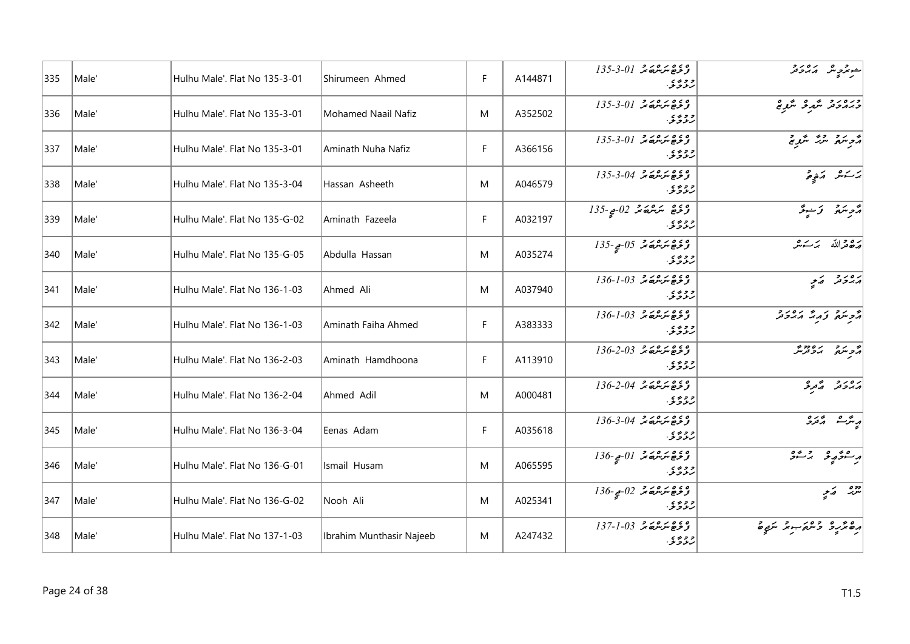| 335 | Male' | Hulhu Male'. Flat No 135-3-01 | Shirumeen Ahmed          | F           | A144871 | $135 - 3 - 01$ $329 - 29$<br>و و و ء .<br>رند <del>و</del> نو                      | جوهرج مراكبه والمراكب   |
|-----|-------|-------------------------------|--------------------------|-------------|---------|------------------------------------------------------------------------------------|-------------------------|
| 336 | Male' | Hulhu Male'. Flat No 135-3-01 | Mohamed Naail Nafiz      | M           | A352502 | و د م مرد م د 135-3-01<br>و و و ء .<br>رو <del>ؤ</del> تو .                        | ورەرو شرق شرقى          |
| 337 | Male' | Hulhu Male'. Flat No 135-3-01 | Aminath Nuha Nafiz       | F           | A366156 | ووم شر <i>هغة</i> 135-3-01<br><u>رووي.</u>                                         | أأرد المرد أورثه الكربي |
| 338 | Male' | Hulhu Male'. Flat No 135-3-04 | Hassan Asheeth           | M           | A046579 | و و م مر م م د 135-3-135<br>و و و ء .<br>رو و و .                                  | ىر سەش مەھپەتر          |
| 339 | Male' | Hulhu Male'. Flat No 135-G-02 | Aminath Fazeela          | F.          | A032197 | ووم <i>مركزم كى 135-ي</i> و-135<br>ج و بر ي.<br>رنگوري                             | أزويتهم وكالمناقر       |
| 340 | Male' | Hulhu Male'. Flat No 135-G-05 | Abdulla Hassan           | M           | A035274 | و و م م م م بار 135 - 135<br>ج و بر ي.<br>رنگوري                                   | رە قراللە ئەسكەش        |
| 341 | Male' | Hulhu Male'. Flat No 136-1-03 | Ahmed Ali                | M           | A037940 | $136 - 1 - 03$ $222 - 82$<br>و و و ء .<br>رو و و .                                 | ړ ور د کم               |
| 342 | Male' | Hulhu Male'. Flat No 136-1-03 | Aminath Faiha Ahmed      | F           | A383333 | $136 - 1 - 03$ $222 - 82$<br><u>رووي.</u>                                          | أأوسمي وأراث أأبادو     |
| 343 | Male' | Hulhu Male'. Flat No 136-2-03 | Aminath Hamdhoona        | $\mathsf F$ | A113910 | $136 - 2 - 03$ $222 - 32$<br>و و و ء .<br>رند <del>و</del> نو                      | أأدمر والمحافظة         |
| 344 | Male' | Hulhu Male'. Flat No 136-2-04 | Ahmed Adil               | M           | A000481 | $136 - 2 - 04$ $222 - 62$<br>و و و ء .<br>رند <del>و</del> نو                      | پره د په پرې            |
| 345 | Male' | Hulhu Male'. Flat No 136-3-04 | Eenas Adam               | F           | A035618 | و و م مر م م د 136-3-04<br><u>رووي.</u>                                            | ړ شرت پر پره            |
| 346 | Male' | Hulhu Male'. Flat No 136-G-01 | Ismail Husam             | M           | A065595 | $136 - 01$ كَرْمُوْهِ سَرْسْرَهُ مِنْ $10 - 4$<br>و و و ء .<br>رند <del>و</del> نو | ر عۇرپۇ بەللەر          |
| 347 | Male' | Hulhu Male'. Flat No 136-G-02 | Nooh Ali                 | M           | A025341 | وْ وْ وْ مْسْتَمْعَةْ 136- مْتْ 136-<br>و و و ء .<br>رند <del>و</del> نو           | چرچه ځې په              |
| 348 | Male' | Hulhu Male'. Flat No 137-1-03 | Ibrahim Munthasir Najeeb | M           | A247432 | $137 - 1 - 03$ $222 - 82$<br>و و و ء .<br>رندگرنگ                                  | رە ئەر ئەر ئەر ئىرە     |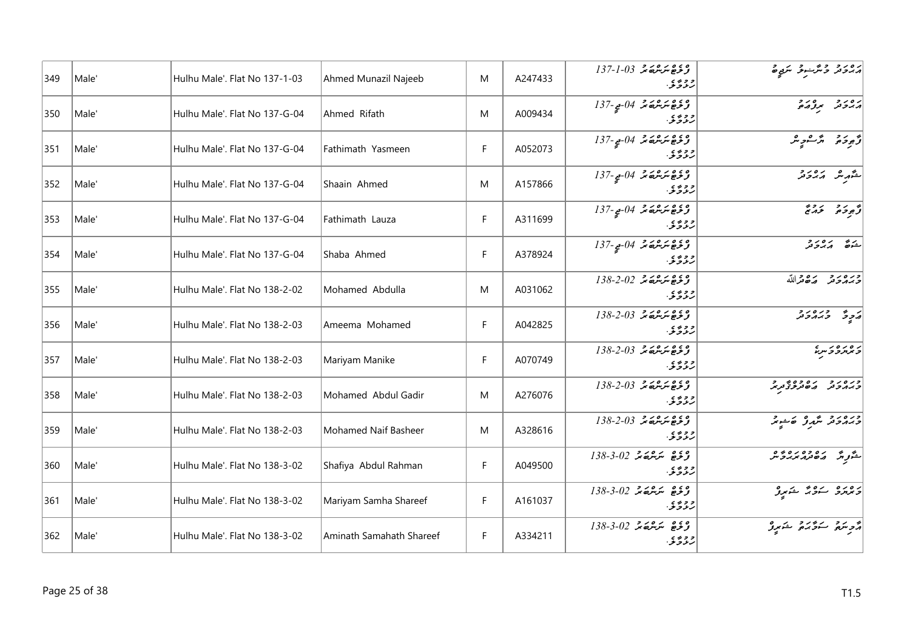| 349 | Male' | Hulhu Male'. Flat No 137-1-03 | Ahmed Munazil Najeeb     | M           | A247433 | $137 - 1 - 03$ $222 - 82$<br>و و و ء .<br>رند <del>و</del> نو                                                                                                      | رەر د ئەر بەيدى ئىي ئ                          |
|-----|-------|-------------------------------|--------------------------|-------------|---------|--------------------------------------------------------------------------------------------------------------------------------------------------------------------|------------------------------------------------|
| 350 | Male' | Hulhu Male'. Flat No 137-G-04 | Ahmed Rifath             | M           | A009434 | ووم مركزة مركب -137<br><u>رووي.</u>                                                                                                                                | ג ס ג כ ג פ ג כ<br>ג ג כ ג ג ג ג ב ב י         |
| 351 | Male' | Hulhu Male'. Flat No 137-G-04 | Fathimath Yasmeen        | F           | A052073 | و و و ه مره د چه -137<br><u>رووي.</u>                                                                                                                              | رٌوجو وگرامچ                                   |
| 352 | Male' | Hulhu Male'. Flat No 137-G-04 | Shaain Ahmed             | M           | A157866 | و و ه عرم مع حر 137- م 137<br>ر و و د ي.<br>رنگوري                                                                                                                 | أشكره مدورد                                    |
| 353 | Male' | Hulhu Male'. Flat No 137-G-04 | Fathimath Lauza          | F.          | A311699 | و ۽ وير وير چي -137 - 137<br><u>رووي.</u>                                                                                                                          | و محمد محمد المحمد                             |
| 354 | Male' | Hulhu Male'. Flat No 137-G-04 | Shaba Ahmed              | $\mathsf F$ | A378924 | و ۽ وير مريد 137-يي-137<br>ج و بر ي.<br>رنگوري                                                                                                                     | شۇڭ بەردىر                                     |
| 355 | Male' | Hulhu Male'. Flat No 138-2-02 | Mohamed Abdulla          | M           | A031062 | $138 - 2 - 02$ و محمد حصر معنى الله عليه الله عليه معنى الله عليه الله عليه الله عليه الله عنه الله عن الله عنه الله عنه الله<br>و و و ء .<br>رند <del>و</del> و . | وره رو ده دالله                                |
| 356 | Male' | Hulhu Male'. Flat No 138-2-03 | Ameema Mohamed           | F           | A042825 | و و م مرمون 2-03-138<br><u>رووي.</u>                                                                                                                               |                                                |
| 357 | Male' | Hulhu Male'. Flat No 138-2-03 | Mariyam Manike           | F           | A070749 | $138 - 2 - 03$ $222 - 82$<br>ج و بر ي.<br>رنگوري                                                                                                                   | ג 2010 ב<br>המחבר ביינו                        |
| 358 | Male' | Hulhu Male'. Flat No 138-2-03 | Mohamed Abdul Gadir      | M           | A276076 | $138 - 2 - 03$ $222$<br>و و و ء .<br>رند <del>و</del> نو                                                                                                           | وره رو دره وه پر د<br>وبرماوتر امان تورو تورنگ |
| 359 | Male' | Hulhu Male'. Flat No 138-2-03 | Mohamed Naif Basheer     | M           | A328616 | $138 - 2 - 03$ $222 - 3$<br>و و و ء .<br>رو <del>ؤ</del> تو .                                                                                                      | ورەرو شرو ەشىر                                 |
| 360 | Male' | Hulhu Male'. Flat No 138-3-02 | Shafiya Abdul Rahman     | F           | A049500 | <b>138-3-02</b> مركز 138-3-42<br>و و و ي.<br>رنونوگو                                                                                                               | شگورگر می مورد مدیر و محمد                     |
| 361 | Male' | Hulhu Male'. Flat No 138-3-02 | Mariyam Samha Shareef    | $\mathsf F$ | A161037 | $138 - 3 - 02$ $222 - 222$<br>و و و ء .<br>رندگرنگ                                                                                                                 | دەرە رەپ شەرر                                  |
| 362 | Male' | Hulhu Male'. Flat No 138-3-02 | Aminath Samahath Shareef | F           | A334211 | $138 - 3 - 02$ $222 - 202$<br>و و و ء .<br>رندگرنگ                                                                                                                 | أروسه كالمراد وأبرو                            |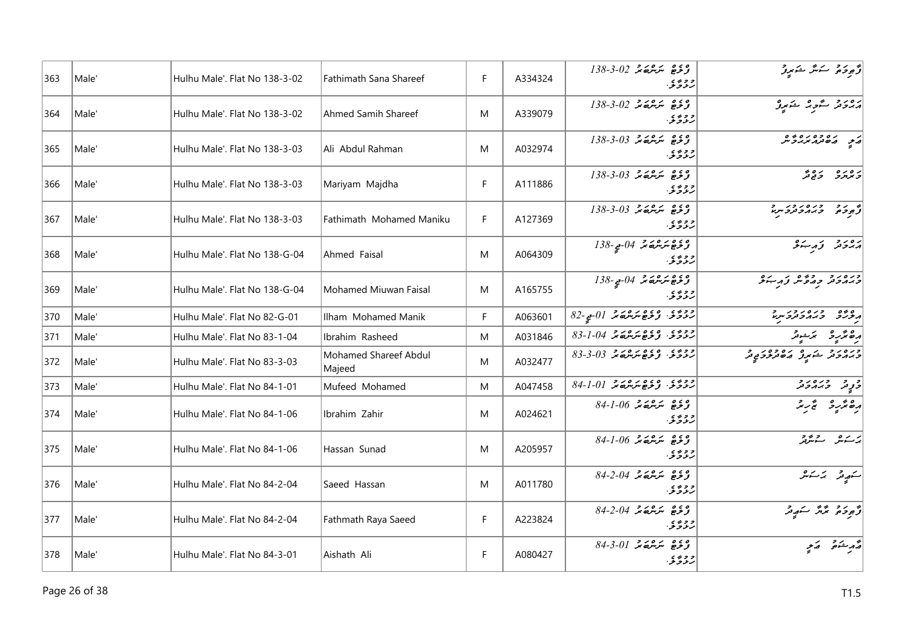| 363 | Male' | Hulhu Male'. Flat No 138-3-02 | Fathimath Sana Shareef          | F. | A334324 | $138 - 3 - 02$ $222 - 222$<br>و و و ء .<br>رند <del>و</del> نو                                                                                       | ۋە ئەھ سەش ھەرۇ                                         |
|-----|-------|-------------------------------|---------------------------------|----|---------|------------------------------------------------------------------------------------------------------------------------------------------------------|---------------------------------------------------------|
| 364 | Male' | Hulhu Male'. Flat No 138-3-02 | Ahmed Samih Shareef             | M  | A339079 | $138 - 3 - 02$ $222 - 222$<br>و و و ء .<br>رند <del>و</del> نو                                                                                       | رەر دىگرى ھەر                                           |
| 365 | Male' | Hulhu Male'. Flat No 138-3-03 | Ali Abdul Rahman                | M  | A032974 | ووه سكره 138-3-03<br>و و و ء .<br>رند <del>و</del> و .                                                                                               | د ده ده ده ده م                                         |
| 366 | Male' | Hulhu Male'. Flat No 138-3-03 | Mariyam Majdha                  | F  | A111886 | $138 - 3 - 03$ $222 - 82$<br>و و و ء .<br>رند <del>و</del> و .                                                                                       | ر ه ر ه<br><del>د</del> بربرو<br>ر ە ئەگە<br>سىر قىگە   |
| 367 | Male' | Hulhu Male'. Flat No 138-3-03 | Fathimath Mohamed Maniku        | F  | A127369 | وء ۾ ش <i>هيھ خي</i> 3-03-138<br><u>رووي.</u>                                                                                                        | و د دره دور د                                           |
| 368 | Male' | Hulhu Male'. Flat No 138-G-04 | Ahmed Faisal                    | M  | A064309 | و و م م م م م بال الله عليه -138<br>ر و و ء .<br>رند <del>و</del> نو                                                                                 | رەرد زەبىر                                              |
| 369 | Male' | Hulhu Male'. Flat No 138-G-04 | Mohamed Miuwan Faisal           | M  | A165755 | $138 - 04$ تَرْحَوْهُ سَرْسَرْهُ مَرْ $138 - 04$ مِ<br>و و و ء .<br>رو <del>و</del> و .                                                              | ورەر د دەھ زېرب                                         |
| 370 | Male' | Hulhu Male'. Flat No 82-G-01  | Ilham Mohamed Manik             | F. | A063601 | $82$ - د د د . و د ه مرموه مرب $1$ - د $92$ - د $-$                                                                                                  | أروره ورود در د                                         |
| 371 | Male' | Hulhu Male'. Flat No 83-1-04  | Ibrahim Rasheed                 | M  | A031846 | 33-1-04 ر <i>وم مرموم كى 1-04-83</i>                                                                                                                 | أرەنۇر ئەسىر                                            |
| 372 | Male' | Hulhu Male'. Flat No 83-3-03  | Mohamed Shareef Abdul<br>Majeed | M  | A032477 | 33-3-03 ر <i>وء ۾ سرپيءَ جي 3-3-83</i>                                                                                                               | وره رو در ده ده ده در و<br>و پر پروتر څوړز پره ترڅرخ پر |
| 373 | Male' | Hulhu Male'. Flat No 84-1-01  | Mufeed Mohamed                  | M  | A047458 | 32 <i>32. ووقع مرمومة 1-01-84</i>                                                                                                                    | ور ورەر د                                               |
| 374 | Male' | Hulhu Male'. Flat No 84-1-06  | Ibrahim Zahir                   | M  | A024621 | $84 - 1 - 06$ $222 - 82$<br>و و و ء .<br>رند <del>و</del> و .                                                                                        | مەھەر بەر ئەرىر                                         |
| 375 | Male' | Hulhu Male'. Flat No 84-1-06  | Hassan Sunad                    | M  | A205957 | $84 - 1 - 06$ $222 - 82$<br>و و و ء .<br>رند <del>و</del> نو                                                                                         | ىر كەش سەئىر تەر                                        |
| 376 | Male' | Hulhu Male'. Flat No 84-2-04  | Saeed Hassan                    | M  | A011780 | ووق سرس 14-2-84<br>و و و ي.<br>رنونوگو                                                                                                               | سكورة كالكامل                                           |
| 377 | Male' | Hulhu Male'. Flat No 84-2-04  | Fathmath Raya Saeed             | F  | A223824 | ووم ش <i>رەم خەن 14-2-84</i><br><u>رووي.</u>                                                                                                         | توجوحه تمركز كتهيز                                      |
| 378 | Male' | Hulhu Male'. Flat No 84-3-01  | Aishath Ali                     | F. | A080427 | $\overline{84-3-01}$ $\overline{x}$ $\overline{x}$ $\overline{x}$ $\overline{x}$ $\overline{z}$ $\overline{z}$ $\overline{z}$<br>و و و ي.<br>رندگرنگ | وكرمشتم وكمج                                            |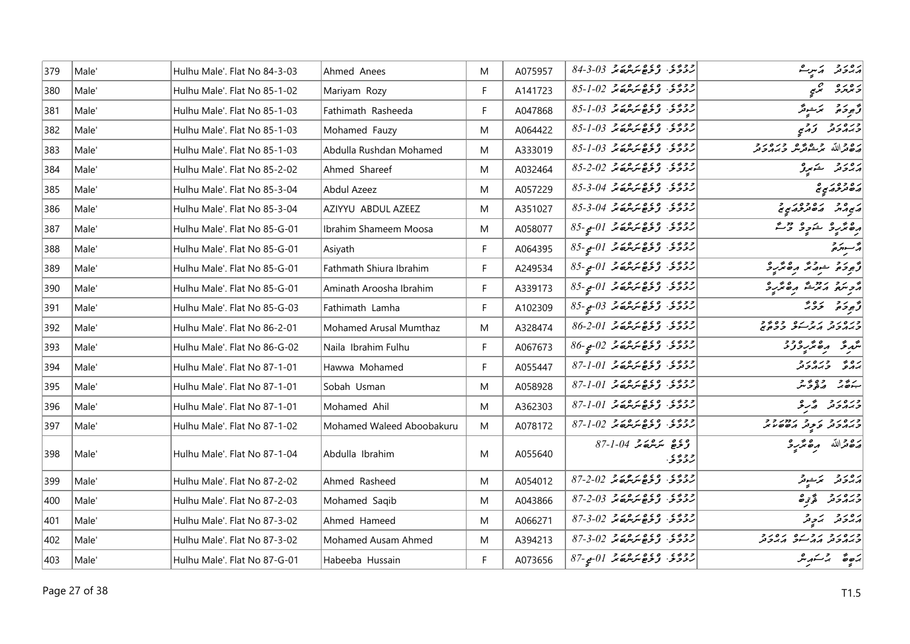| 379 | Male' | Hulhu Male'. Flat No 84-3-03 | Ahmed Anees               | M  | A075957 | 34-3-03 مرتفقة 19-3-84 84-3-03                               | أرور وتمير                                               |
|-----|-------|------------------------------|---------------------------|----|---------|--------------------------------------------------------------|----------------------------------------------------------|
| 380 | Male' | Hulhu Male'. Flat No 85-1-02 | Mariyam Rozy              | F  | A141723 | 35-1-02 ر <i>وۋھ مرموم كى 1-02-85</i>                        | ئەنگەر ئ                                                 |
| 381 | Male' | Hulhu Male'. Flat No 85-1-03 | Fathimath Rasheeda        | F  | A047868 | 35-1-03 مرمود مركز 1-03-85                                   | أرتموخاتم التماسية                                       |
| 382 | Male' | Hulhu Male'. Flat No 85-1-03 | Mohamed Fauzy             | M  | A064422 | 35-1-03 مرتفق مرتفقة 1-03-85                                 | وره رد در<br>حدمدونر تومني                               |
| 383 | Male' | Hulhu Male'. Flat No 85-1-03 | Abdulla Rushdan Mohamed   | M  | A333019 | 35-1-03 مرتفق مرتفقة 1-03-85                                 | رە داللە برخوترىر دىرەرد                                 |
| 384 | Male' | Hulhu Male'. Flat No 85-2-02 | Ahmed Shareef             | M  | A032464 | 35-2-02 كوم محمد 20-2-85 -85                                 | رەر دېرو                                                 |
| 385 | Male' | Hulhu Male'. Flat No 85-3-04 | Abdul Azeez               | M  | A057229 | 35-3-04 مەھ <i>برەھ بىر 3-64-85</i>                          | ر ه و و ر<br>پره ترڅه پې چ                               |
| 386 | Male' | Hulhu Male'. Flat No 85-3-04 | AZIYYU ABDUL AZEEZ        | M  | A351027 | 35-3-04 كوم محمد 10-3-85 -85                                 | ג׳ פר גם בסג׳ ב                                          |
| 387 | Male' | Hulhu Male'. Flat No 85-G-01 | Ibrahim Shameem Moosa     | M  | A058077 | 35° - و د و و مرمون تر 10-يې -85                             | ړە ئرېږو شوې وچر                                         |
| 388 | Male' | Hulhu Male'. Flat No 85-G-01 | Asiyath                   | F  | A064395 | $85 - 01$ حيد و د م مرسم مل د ال - حي                        | و سوهر د<br>م                                            |
| 389 | Male' | Hulhu Male'. Flat No 85-G-01 | Fathmath Shiura Ibrahim   | F. | A249534 | $85 - 01$ حِمْدَة مِنْ قَوْمِ عَبْرِ مُرْجَعَة $01 - 1$      | ژّودَه شرد رُه دُرد                                      |
| 390 | Male' | Hulhu Male'. Flat No 85-G-01 | Aminath Aroosha Ibrahim   | F. | A339173 | 35 - 35 - 35 مركزة محمد - 10 - ي - 85                        | أزويته أبره بمره وكالربرد                                |
| 391 | Male' | Hulhu Male'. Flat No 85-G-03 | Fathimath Lamha           | F  | A102309 | $85$ - جوء محرم مريد ھو $\sim$ جو -85 $\sim$                 | وُجِعَةٍ وَوَيَّ                                         |
| 392 | Male' | Hulhu Male'. Flat No 86-2-01 | Mohamed Arusal Mumthaz    | M  | A328474 | 36-2-01 د و د م م م م م م م د 36-2-01                        | 2402 - 2402 - 2402<br>כמחכת הת—יב ככתב                   |
| 393 | Male' | Hulhu Male'. Flat No 86-G-02 | Naila Ibrahim Fulhu       | F  | A067673 |                                                              | شرقه رەپرىرور                                            |
| 394 | Male' | Hulhu Male'. Flat No 87-1-01 | Hawwa Mohamed             | F  | A055447 | 37-1-01 دوم مرمود 1-01-87                                    | ر ه بو<br>براد تو<br>و رە ر د<br><i>د بە</i> پەر         |
| 395 | Male' | Hulhu Male'. Flat No 87-1-01 | Sobah Usman               | M  | A058928 | 37-1-01 كوم محمد من 1-1-87                                   | بەئ<br>چە ئۇ ئەشر                                        |
| 396 | Male' | Hulhu Male'. Flat No 87-1-01 | Mohamed Ahil              | M  | A362303 | 37-1-01 دوم مرمود 1-01-87                                    | ورەر د گرى                                               |
| 397 | Male' | Hulhu Male'. Flat No 87-1-02 | Mohamed Waleed Aboobakuru | M  | A078172 | 37-1-02 ر <i>وۋھ مرموم كى 20-1-87</i>                        | כנסגב גבל גמניבב                                         |
| 398 | Male' | Hulhu Male'. Flat No 87-1-04 | Abdulla Ibrahim           | M  | A055640 | $87 - 1 - 04$ $222 - 82$<br>و و و ء .<br>رند <del>و</del> نو | مَصْدَاللَّهُ مِصْغَرَبِهِ                               |
| 399 | Male' | Hulhu Male'. Flat No 87-2-02 | Ahmed Rasheed             | M  | A054012 | 37-2-02 مەم ھەر 20-2-87 -87                                  | رەرو كەنبەتە                                             |
| 400 | Male' | Hulhu Male'. Flat No 87-2-03 | Mohamed Saqib             | M  | A043866 | 37-2-03 مرمود 20-2-87                                        | وره رو په ه<br>د برونر څخه                               |
| 401 | Male' | Hulhu Male'. Flat No 87-3-02 | Ahmed Hameed              | M  | A066271 | 37-3-02 مرمود من 10-3-87                                     | دەر بر ترىپ                                              |
| 402 | Male' | Hulhu Male'. Flat No 87-3-02 | Mohamed Ausam Ahmed       | M  | A394213 | 37-3-02 و <i>و ه ه مره چې</i> 20-3-87                        | כנסגב גבגם גםגב<br><i>כג</i> מכת ממ <sup>י</sup> יב מגבת |
| 403 | Male' | Hulhu Male'. Flat No 87-G-01 | Habeeba Hussain           | F  | A073656 | 32 - وقوع مرمودة مرك - السيم - 87                            | أبرّه فأستمر مثر                                         |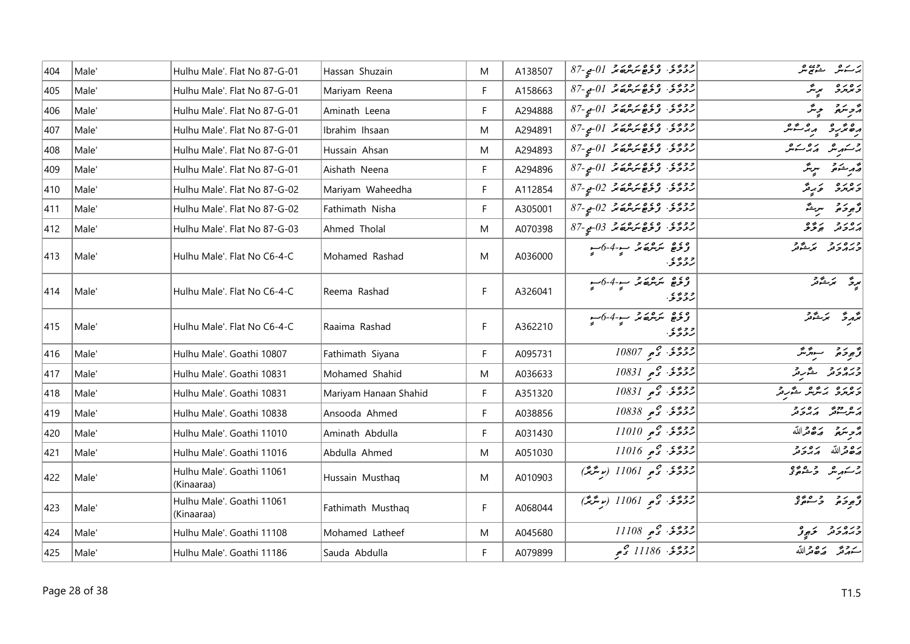| 404 | Male' | Hulhu Male'. Flat No 87-G-01            | Hassan Shuzain        | M           | A138507 | دووي. وووم مرموه تر 10-يې-87                                                | ىر كەش سۇھىمىر                              |
|-----|-------|-----------------------------------------|-----------------------|-------------|---------|-----------------------------------------------------------------------------|---------------------------------------------|
| 405 | Male' | Hulhu Male'. Flat No 87-G-01            | Mariyam Reena         | E           | A158663 | $87 - 01$ حرم من من من من من ال $-87$                                       | ويوبره<br>ىيە ئىگە<br>ئە                    |
| 406 | Male' | Hulhu Male'. Flat No 87-G-01            | Aminath Leena         | E           | A294888 | $87 - 01$ حرم من من من من من ال $-87$                                       | ړې سرچ په پر                                |
| 407 | Male' | Hulhu Male'. Flat No 87-G-01            | Ibrahim Ihsaan        | M           | A294891 | 7 - ج ج ع ح ع مر مر ح ال ع -87 - 87                                         | ر پر شهر<br>دە ئەرو                         |
| 408 | Male' | Hulhu Male'. Flat No 87-G-01            | Hussain Ahsan         | M           | A294893 | $87 - 01$ حِمْدَ حَمْدَ فَرَحْمَةِ مِنْ مَسْتَمَعَةِ $01 - 2$               | بر سکر سر ایر بر کر سکر سر سر               |
| 409 | Male' | Hulhu Male'. Flat No 87-G-01            | Aishath Neena         | F           | A294896 | $87 - 01$ حرم من من من من من ال $-87$                                       | قەم شەقق سېرىتىل                            |
| 410 | Male' | Hulhu Male'. Flat No 87-G-02            | Mariyam Waheedha      | F           | A112854 | $87 - 02$ حِمْدَ حَمْدَ حَمْدِ حَمْدَ حَمَدَ حَمَدَ حَمْدَ حَمْدَ $10 - 62$ | و وره و دیگر                                |
| 411 | Male' | Hulhu Male'. Flat No 87-G-02            | Fathimath Nisha       | F           | A305001 | 32 - 33 - 39 مرين هم 2 - 40 - ح - 87                                        | و و د د سرچ                                 |
| 412 | Male' | Hulhu Male'. Flat No 87-G-03            | Ahmed Tholal          | M           | A070398 |                                                                             | رەر دىرە<br><mark>دىرى بىرگە</mark>         |
| 413 | Male' | Hulhu Male'. Flat No C6-4-C             | Mohamed Rashad        | M           | A036000 | و و عرض من الله عنه -4-6 سو<br>و و و ي.<br>رندگر                            | ورەر دىر بەر<br><i>جەم</i> ەر بىرىشەتر      |
| 414 | Male' | Hulhu Male'. Flat No C6-4-C             | Reema Rashad          | F           | A326041 | $-6-4$ $-2$ $-2$ $-6$ $-6$<br>و و و ء .<br>رند <del>و</del> نو              | ىردە كەشكەر                                 |
| 415 | Male' | Hulhu Male'. Flat No C6-4-C             | Raaima Rashad         | $\mathsf F$ | A362210 | وي مركز سو 4-6 ك<br>و و و ء .<br>رند <del>و</del> نو                        | تررڅ ترڅونر                                 |
| 416 | Male' | Hulhu Male'. Goathi 10807               | Fathimath Siyana      | F           | A095731 | $10807$ جَوْدَ دَمِي                                                        | ژوده سترس                                   |
| 417 | Male' | Hulhu Male'. Goathi 10831               | Mohamed Shahid        | M           | A036633 | $10831$ جَدْدُبْدَ جَمْعِي $10831$                                          | ورەرو شەرىر                                 |
| 418 | Male' | Hulhu Male'. Goathi 10831               | Mariyam Hanaan Shahid | F           | A351320 | $10831$ جَدْدُبْدَ جَمْعِي $10831$                                          | رەرە بەش ئەرىر                              |
| 419 | Male' | Hulhu Male'. Goathi 10838               | Ansooda Ahmed         | F           | A038856 | $10838$ جِمْعَةً جَمْعِ 10838                                               | ر ۵ دوم در ره ر و<br>پر سر سوتر در پر تر تر |
| 420 | Male' | Hulhu Male'. Goathi 11010               | Aminath Abdulla       | F           | A031430 | $11010$ جِدْدُبْدَ جَمْعِ $91010$                                           | محرسكر مكافرالله                            |
| 421 | Male' | Hulhu Male'. Goathi 11016               | Abdulla Ahmed         | M           | A051030 | $11016$ جَدْدَّةَ. جُمْعِ 11016                                             | رەقراللە مەددىر                             |
| 422 | Male' | Hulhu Male'. Goathi 11061<br>(Kinaaraa) | Hussain Musthaq       | M           | A010903 | 22 كۇ. مجمو 11061 (موشرىمَد)                                                | جر شهر شرق و شوی                            |
| 423 | Male' | Hulhu Male'. Goathi 11061<br>(Kinaaraa) | Fathimath Musthaq     | F           | A068044 | 332 كومبر 11061 (موسَّنَدَّ)                                                | و ده د معنی                                 |
| 424 | Male' | Hulhu Male', Goathi 11108               | Mohamed Latheef       | M           | A045680 | $11108$ جِدْ جُو ۽ $11108$                                                  | ورەرو كەر                                   |
| 425 | Male' | Hulhu Male'. Goathi 11186               | Sauda Abdulla         | F           | A079899 |                                                                             | تكرير وكالله                                |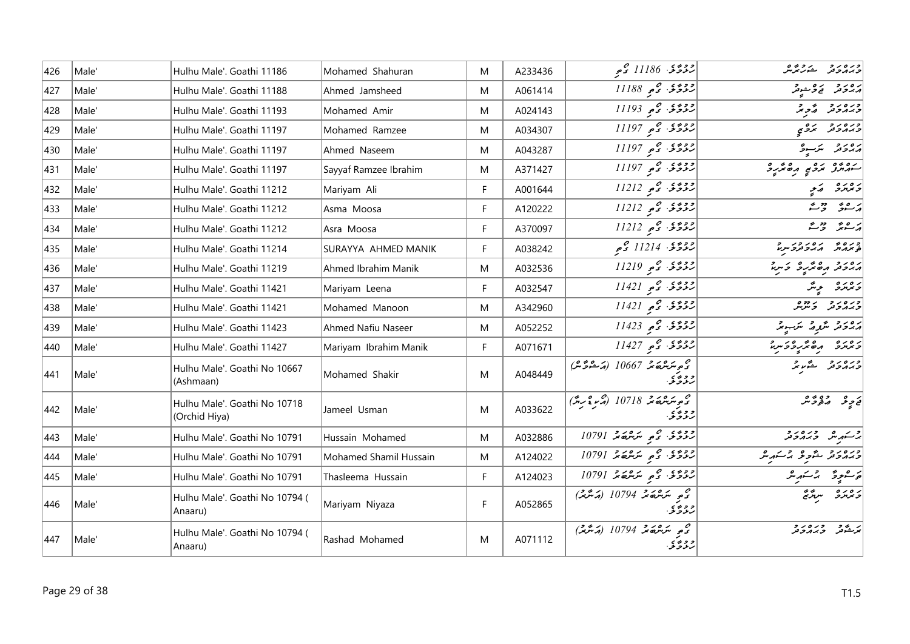| 426 | Male' | Hulhu Male'. Goathi 11186                     | Mohamed Shahuran          | M           | A233436 |                                                                                   | ورەرو ئەروپە<br><i>دىد</i> ەرەتر ئىش <i>رى</i> ترىش  |
|-----|-------|-----------------------------------------------|---------------------------|-------------|---------|-----------------------------------------------------------------------------------|------------------------------------------------------|
| 427 | Male' | Hulhu Male'. Goathi 11188                     | Ahmed Jamsheed            | M           | A061414 | $11188$ جَدْءٌ جَمْعِ $88111$                                                     | ره ر د ده ره دو د                                    |
| 428 | Male' | Hulhu Male'. Goathi 11193                     | Mohamed Amir              | M           | A024143 | $11193$ جِمْعَةٌ جَمْعِ 11193                                                     | ورەرو ئەرتر                                          |
| 429 | Male' | Hulhu Male'. Goathi 11197                     | Mohamed Ramzee            | M           | A034307 | $11197$ جِمْعَةً جَمْعِ 11197                                                     | ورەر دەر                                             |
| 430 | Male' | Hulhu Male'. Goathi 11197                     | Ahmed Naseem              | M           | A043287 | $11197$ جِمْعَةً جَمْعِ 11197                                                     | برەر يرىسوۋ                                          |
| 431 | Male' | Hulhu Male'. Goathi 11197                     | Sayyaf Ramzee Ibrahim     | M           | A371427 | $11197$ جِمْعَةٌ جَمْعِ 11197                                                     | موروق بردي و مشرد                                    |
| 432 | Male' | Hulhu Male'. Goathi 11212                     | Mariyam Ali               | F           | A001644 | $11212$ جِمْعَةً جَمْعِ 11212                                                     | ويويزو الكامي                                        |
| 433 | Male' | Hulhu Male'. Goathi 11212                     | Asma Moosa                | F           | A120222 | $11212$ جِمْعَةَ جَمْعِي $2$                                                      | رَ شرتر<br>دين شهر                                   |
| 434 | Male' | Hulhu Male'. Goathi 11212                     | Asra Moosa                | F           | A370097 | $11212$ جِمْعَةً جَمْعِ 11212                                                     | ړ هغه د دعه                                          |
| 435 | Male' | Hulhu Male'. Goathi 11214                     | SURAYYA AHMED MANIK       | F           | A038242 | ر دې 11214 کې مو                                                                  | כנסט נסנכנית                                         |
| 436 | Male' | Hulhu Male'. Goathi 11219                     | Ahmed Ibrahim Manik       | M           | A032536 | $11219$ جَمْعَةً جَمْعِ 11219                                                     | גיבת הפיציב ביתי                                     |
| 437 | Male' | Hulhu Male'. Goathi 11421                     | Mariyam Leena             | F           | A032547 | $11421$ جَوْءٌ جَمْعِ $11421$                                                     | دەرە بوش                                             |
| 438 | Male' | Hulhu Male'. Goathi 11421                     | Mohamed Manoon            | M           | A342960 | $11421$ جَوْءٌ جَمْعِ $11421$                                                     | כנסני נמס.<br>כגונכת ביתית                           |
| 439 | Male' | Hulhu Male'. Goathi 11423                     | <b>Ahmed Nafiu Naseer</b> | M           | A052252 | $11423$ جَ جَمْعِ $2$                                                             | أرورة الكرارة الكرسورة                               |
| 440 | Male' | Hulhu Male'. Goathi 11427                     | Mariyam Ibrahim Manik     | F.          | A071671 | $11427$ جَمْعَةَ جَمْعِ 11427                                                     | בתחב תפת בכתי                                        |
| 441 | Male' | Hulhu Male'. Goathi No 10667<br>(Ashmaan)     | Mohamed Shakir            | M           | A048449 | مى ئەرەك ئەرەك 10667 (مەشقە ئەر<br>و و و ء .<br>رند <del>و</del> نو               | ورەرو شەرو                                           |
| 442 | Male' | Hulhu Male'. Goathi No 10718<br>(Orchid Hiya) | Jameel Usman              | M           | A033622 | ج <sub>ى م</sub> ەتئەشھەتمە 10718 (م <sup>ى</sup> رى بەرگە)<br>و و وي.<br>رنونوگو | پروژ ده ده م                                         |
| 443 | Male' | Hulhu Male'. Goathi No 10791                  | Hussain Mohamed           | M           | A032886 | 22° كى مەسكەن 10791.                                                              | بر شهر شده در در د                                   |
| 444 | Male' | Hulhu Male'. Goathi No 10791                  | Mohamed Shamil Hussain    | M           | A124022 | جوء في محمد سر معرض 10792                                                         | ورەرو ئۇرۇ جىشرىر                                    |
| 445 | Male' | Hulhu Male'. Goathi No 10791                  | Thasleema Hussain         | $\mathsf F$ | A124023 | 1079 كوم مكر محمد 10791                                                           | ەر ھوڭ بر سەر س                                      |
| 446 | Male' | Hulhu Male'. Goathi No 10794 (<br>Anaaru)     | Mariyam Niyaza            | F           | A052865 | ج م <sub>و</sub> مَرْمُعَةَ 10794 (مَسَّمَّدُ)<br>333ع.<br>مرکو <del>گر</del>     | נים נים ניידיים ביו המוד<br>ביי <i>ד</i> ודים ניידית |
| 447 | Male' | Hulhu Male'. Goathi No 10794 (<br>Anaaru)     | Rashad Mohamed            | M           | A071112 | ىم ئىر مىشقەتمە 10794 (مەشتىر)<br>و و و ء .<br>رنو بو تو .                        | ر مود دره رد<br>برخور وبرودور                        |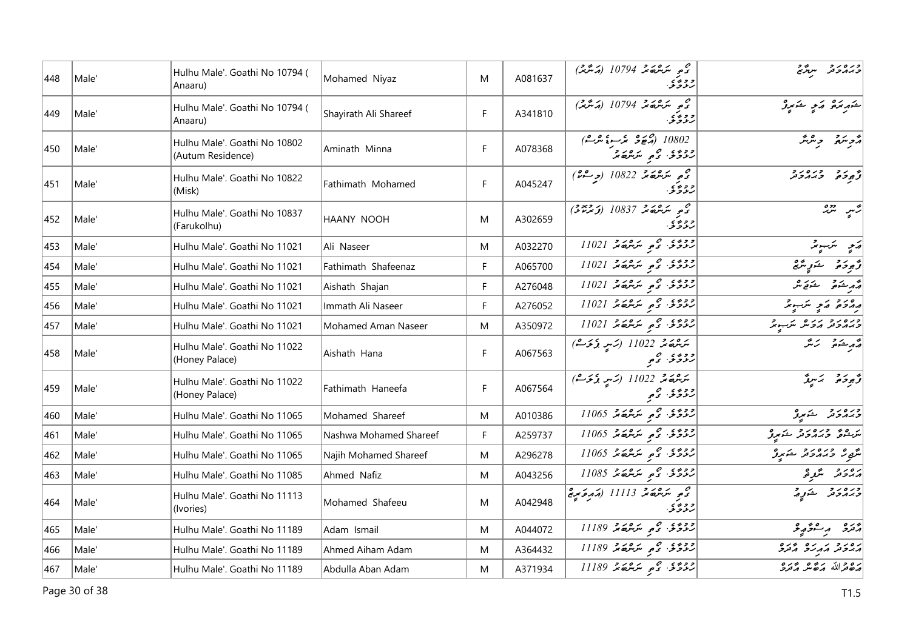| 448 | Male' | Hulhu Male'. Goathi No 10794 (<br>Anaaru)         | Mohamed Niyaz          | M  | A081637 | محمو مترهضم 10794 (مَسَمَّدُ)<br>و و و ء .<br>رند <del>و</del> و           | בנים ני ייטלים                         |
|-----|-------|---------------------------------------------------|------------------------|----|---------|----------------------------------------------------------------------------|----------------------------------------|
| 449 | Male' | Hulhu Male'. Goathi No 10794 (<br>Anaaru)         | Shayirath Ali Shareef  | F  | A341810 | ج م سَرْسْھَ يَنْ 10794 (مَسَرَبْتُ)<br>و و و ي.<br>رند <del>و</del> نو    | خير پژه کړې ځيږو                       |
| 450 | Male' | Hulhu Male'. Goathi No 10802<br>(Autum Residence) | Aminath Minna          | F  | A078368 | $(2.22)$ $(2.32)$                                                          | أأوسكم والرامل                         |
| 451 | Male' | Hulhu Male'. Goathi No 10822<br>(Misk)            | Fathimath Mohamed      | F  | A045247 | محمو متره محمد 10822 (ح <b>مد علم</b> )<br>و و و ي.<br>رند <del>و</del> نو | 37073 37 3                             |
| 452 | Male' | Hulhu Male'. Goathi No 10837<br>(Farukolhu)       | HAANY NOOH             | M  | A302659 | ە مەشھەتە 10837 (ئەمدىنۇ)<br>د د وي.<br>رند وگو.                           | ا شهر المعر <i>د</i>                   |
| 453 | Male' | Hulhu Male'. Goathi No 11021                      | Ali Naseer             | M  | A032270 | رْدْدَّىْ. كَمْ سَرْسْھَىْرْ 11021                                         | أرجع التكسير                           |
| 454 | Male' | Hulhu Male'. Goathi No 11021                      | Fathimath Shafeenaz    | F  | A065700 | <sup>22</sup> 2. مى ئىر ئىرى ئىسكى 11021                                   | ۇ بۇرۇ سۇرپىرى                         |
| 455 | Male' | Hulhu Male'. Goathi No 11021                      | Aishath Shajan         | F  | A276048 | ر دوي. محمد شهده مدافق 11021                                               | محمد شده<br>محمد شده مشوق مگر          |
| 456 | Male' | Hulhu Male'. Goathi No 11021                      | Immath Ali Naseer      | F  | A276052 | <sup>33</sup> رى ئىم ئىر ئىرى 11021                                        | ممدوم مو سكب                           |
| 457 | Male' | Hulhu Male'. Goathi No 11021                      | Mohamed Aman Naseer    | M  | A350972 | جوم محمد عصر 11021                                                         | وره رو رره شهور                        |
| 458 | Male' | Hulhu Male'. Goathi No 11022<br>(Honey Palace)    | Aishath Hana           | F. | A067563 | ىترىكى قىر 11022 (ئەبىر بۇ ئۇت<br>وووي. مي <sub>م</sub>                    | مەر شەق ئەنگە                          |
| 459 | Male' | Hulhu Male'. Goathi No 11022<br>(Honey Palace)    | Fathimath Haneefa      | F  | A067564 | ترجمة عجم 11022 (رَسٍ وَتَوَتَّمَ)<br>و و د ي .<br>رندگر د کمی             | أَوَّ جَوَدَةَ أَيْسِيَّةٌ             |
| 460 | Male' | Hulhu Male'. Goathi No 11065                      | Mohamed Shareef        | M  | A010386 | $11065$ مُدَوَّدٌ وَمِ سَرْسُ هَدَ $25.5$                                  | ورەرو شەرە                             |
| 461 | Male' | Hulhu Male'. Goathi No 11065                      | Nashwa Mohamed Shareef | F. | A259737 | $11065$ كَمُعْرَفَة دَمِي مَرْسُهَة مِنْ $532$                             | ر و د درور د درو<br>سرشوی وبر دور شورو |
| 462 | Male' | Hulhu Male'. Goathi No 11065                      | Najih Mohamed Shareef  | Μ  | A296278 | ر دوي. محمد شريعة 11065                                                    | شي و دره د د شهرو                      |
| 463 | Male' | Hulhu Male'. Goathi No 11085                      | Ahmed Nafiz            | M  | A043256 | 222 كومبر مرمودة 11085.                                                    | رەر ئەرۋە                              |
| 464 | Male' | Hulhu Male'. Goathi No 11113<br>(Ivories)         | Mohamed Shafeeu        | M  | A042948 | محمو متدهم 11113 (مَدِعَ بِيعَ)<br>و و و ء .<br>رنو څرنگ                   | ورەرو شەرە                             |
| 465 | Male' | Hulhu Male'. Goathi No 11189                      | Adam Ismail            | M  | A044072 | ر دوي مي سر الله عليه 11189.                                               | أرتروا أراحتم والمحمد والمحمد          |
| 466 | Male' | Hulhu Male'. Goathi No 11189                      | Ahmed Aiham Adam       | M  | A364432 | رُدْدَّى دُمِ سَرْمُعَةْ 11189                                             | גם גב גבים יינים<br>גגבת גביב בינים    |
| 467 | Male' | Hulhu Male'. Goathi No 11189                      | Abdulla Aban Adam      | Μ  | A371934 | رُدْدَّى دُمِ سَرْمُعَةْ 11189                                             | رە داللە ئەھىر مەرە                    |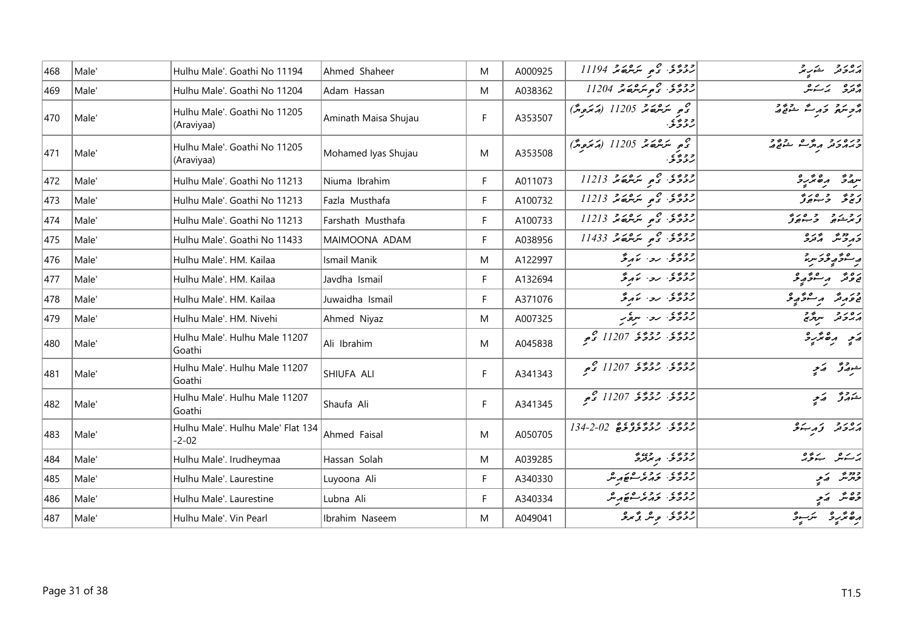| 468 | Male' | Hulhu Male'. Goathi No 11194                   | Ahmed Shaheer        | M           | A000925 | دووی ده پره پر 11194                                          | پرورو شکریمی                                 |
|-----|-------|------------------------------------------------|----------------------|-------------|---------|---------------------------------------------------------------|----------------------------------------------|
| 469 | Male' | Hulhu Male'. Goathi No 11204                   | Adam Hassan          | M           | A038362 | 22° كى مەسكەن 11204                                           | أروه برسكس                                   |
| 470 | Male' | Hulhu Male'. Goathi No 11205<br>(Araviyaa)     | Aminath Maisa Shujau | F           | A353507 | جى مەنگىھەتىر 11205 (مەنگەھەتى)<br>و و و ء .<br>رند و تو .    | أأوسكم وأرث شوقها                            |
| 471 | Male' | Hulhu Male'. Goathi No 11205<br>(Araviyaa)     | Mohamed Iyas Shujau  | M           | A353508 | جى مەسكى 11205 (مەسكەملە)<br>و و و ء .<br>رند <del>و</del> نو | ورەرو پەر دەر                                |
| 472 | Male' | Hulhu Male'. Goathi No 11213                   | Niuma Ibrahim        | F           | A011073 | رووي محمد محمد 11213                                          | مەھمەر<br>سرچينې                             |
| 473 | Male' | Hulhu Male'. Goathi No 11213                   | Fazla Musthafa       | F           | A100732 | دووی دی پره دولادا 11213                                      | د په پروگ<br>ى ئەنتى<br>تونى <del>ئ</del> ىر |
| 474 | Male' | Hulhu Male'. Goathi No 11213                   | Farshath Musthafa    | F           | A100733 | دووی دی پره دولادا 11213                                      | ر ج ئەر ج<br>تو ئىرىشىز جى<br>چ پەيدۇ        |
| 475 | Male' | Hulhu Male'. Goathi No 11433                   | MAIMOONA ADAM        | F           | A038956 | 11433 محمو متر هڪ 11433                                       | وَرِوْسٌ رَمَّرُو                            |
| 476 | Male' | Hulhu Male'. HM. Kailaa                        | Ismail Manik         | M           | A122997 | رووسی رہ تاریخ                                                | ە س <sup>ە</sup> ئەر ئەر ئەرىر               |
| 477 | Male' | Hulhu Male'. HM. Kailaa                        | Javdha Ismail        | $\mathsf F$ | A132694 | رودي. ره، نامدگ                                               | تەھ مەشتۇر ئى                                |
| 478 | Male' | Hulhu Male'. HM. Kailaa                        | Juwaidha Ismail      | F           | A371076 | وودي. ره۰ <i>۱۲ م</i> گر                                      | في عرض من المستركة من المحرم و المحر         |
| 479 | Male' | Hulhu Male'. HM. Nivehi                        | Ahmed Niyaz          | M           | A007325 | دومی ره سره ب                                                 | أرور والمحمد                                 |
| 480 | Male' | Hulhu Male'. Hulhu Male 11207<br>Goathi        | Ali Ibrahim          | M           | A045838 |                                                               | ړَ په موغر د                                 |
| 481 | Male' | Hulhu Male'. Hulhu Male 11207<br>Goathi        | SHIUFA ALI           | F           | A341343 | رودي. رووي 11207 <sub>ت</sub> حمي                             | شوهای کامی                                   |
| 482 | Male' | Hulhu Male'. Hulhu Male 11207<br>Goathi        | Shaufa Ali           | E           | A341345 |                                                               | شەرجۇ كەچ                                    |
| 483 | Male' | Hulhu Male'. Hulhu Male' Flat 134<br>$-2 - 02$ | Ahmed Faisal         | M           | A050705 | $134 - 2 - 02$ $253 - 532$                                    | برەرد زېربىد                                 |
| 484 | Male' | Hulhu Male'. Irudheymaa                        | Hassan Solah         | M           | A039285 | و و ه ي .<br>  رندونو مرمزو                                   | ىرىكىش سەۋر                                  |
| 485 | Male' | Hulhu Male'. Laurestine                        | Luyoona Ali          | F.          | A340330 | وودی دوه وه مر                                                | دورمر اړکو                                   |
| 486 | Male' | Hulhu Male'. Laurestine                        | Lubna Ali            | F           | A340334 | وودی روه ده ور                                                | أخره شريد                                    |
| 487 | Male' | Hulhu Male'. Vin Pearl                         | Ibrahim Naseem       | M           | A049041 | رودوی ویژوگرو                                                 | أرە ئۆر ئىس ئىسو                             |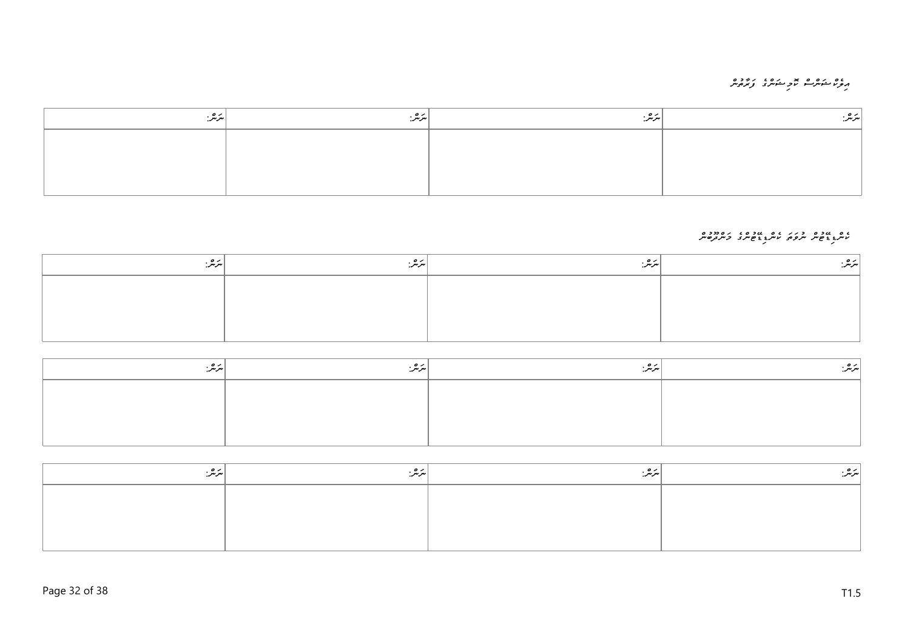## *w7qAn8m?sCw7mRo>u;wEw7mRw;sBo<*

| ' مرمر | 'يئرىثر: |
|--------|----------|
|        |          |
|        |          |
|        |          |

## *w7q9r@w7m>sCw7qHtFoFw7s;mAm=q7w7qHtFoFw7s;*

| ىر تە | $\mathcal{O} \times$<br>$\sim$ | $\sim$<br>. . | لترنثر |
|-------|--------------------------------|---------------|--------|
|       |                                |               |        |
|       |                                |               |        |
|       |                                |               |        |

| انترنثر: | $^{\circ}$ | يبرهر | $^{\circ}$<br>سرسر |
|----------|------------|-------|--------------------|
|          |            |       |                    |
|          |            |       |                    |
|          |            |       |                    |

| ىرتىر: | 。<br>سر سر | .,<br>مرسر |
|--------|------------|------------|
|        |            |            |
|        |            |            |
|        |            |            |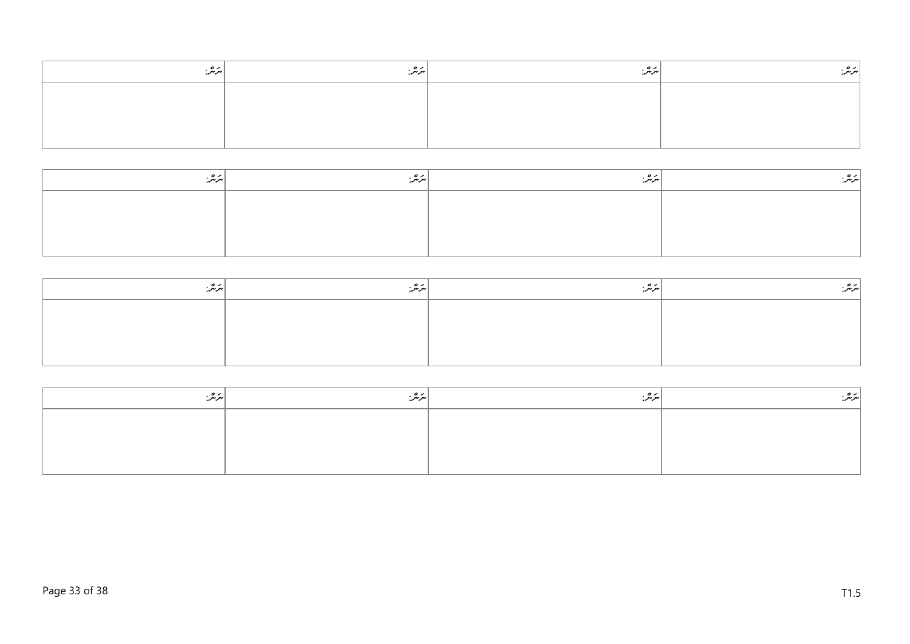| يزهر | $^{\circ}$ | ىئرىتر: |  |
|------|------------|---------|--|
|      |            |         |  |
|      |            |         |  |
|      |            |         |  |

| متريثر به | 。<br>'سرسر'۔ | يتزيترا | سرسر |
|-----------|--------------|---------|------|
|           |              |         |      |
|           |              |         |      |
|           |              |         |      |

| ىر تە | $\sim$ | ا بر هر: | $^{\circ}$<br>' سرسر. |
|-------|--------|----------|-----------------------|
|       |        |          |                       |
|       |        |          |                       |
|       |        |          |                       |

| 。<br>مرس. | $\overline{\phantom{a}}$<br>مر مىر | يتريثر |
|-----------|------------------------------------|--------|
|           |                                    |        |
|           |                                    |        |
|           |                                    |        |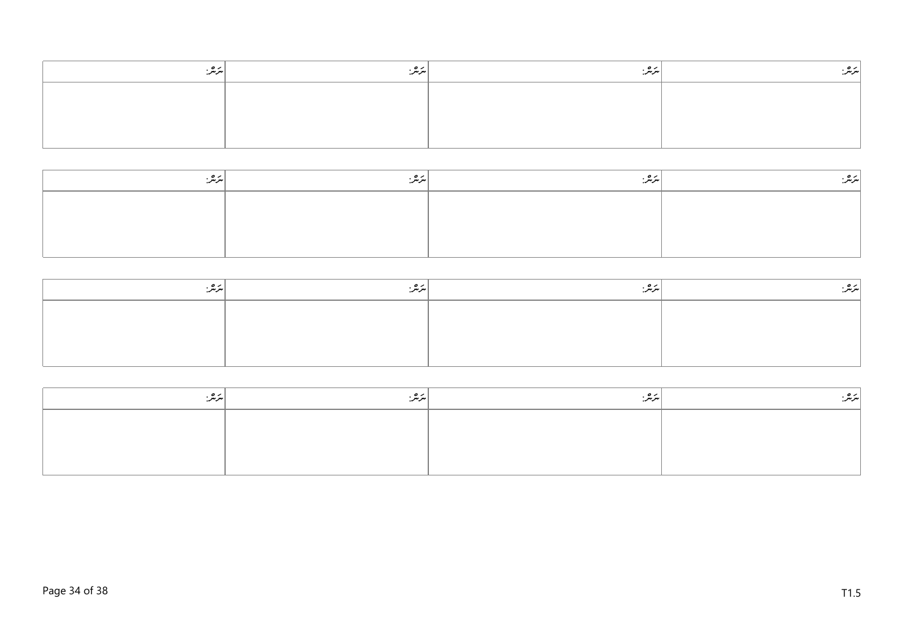| ير هو . | $\overline{\phantom{a}}$ | يرمر | اير هنه. |
|---------|--------------------------|------|----------|
|         |                          |      |          |
|         |                          |      |          |
|         |                          |      |          |

| ئىرتىر: | $\sim$<br>ا سرسر . | يئرمثر | o . |
|---------|--------------------|--------|-----|
|         |                    |        |     |
|         |                    |        |     |
|         |                    |        |     |

| 'تترنثر: | 。<br>,,,, |  |
|----------|-----------|--|
|          |           |  |
|          |           |  |
|          |           |  |

|  | . ه |
|--|-----|
|  |     |
|  |     |
|  |     |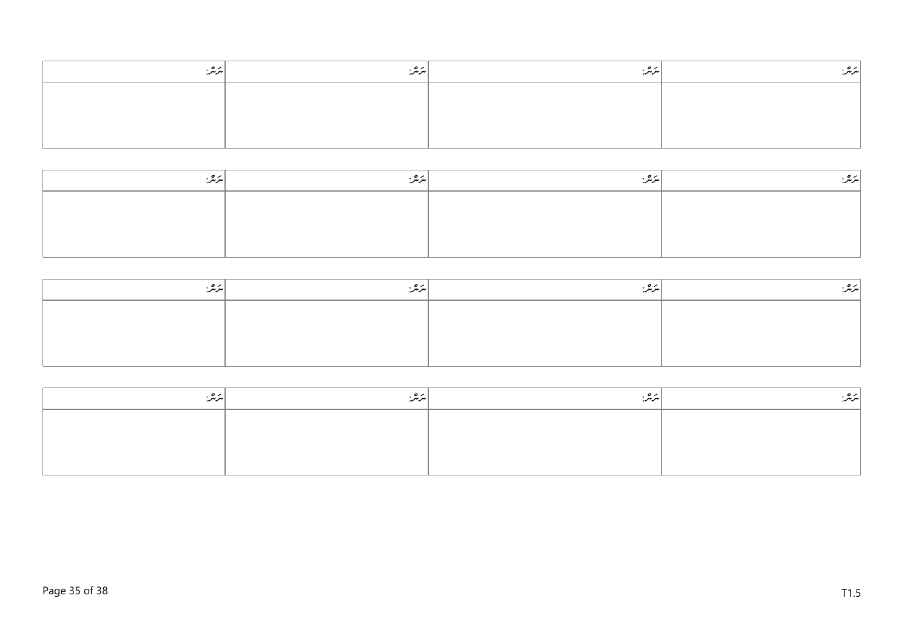| ير هو . | $\overline{\phantom{a}}$ | يرمر | اير هنه. |
|---------|--------------------------|------|----------|
|         |                          |      |          |
|         |                          |      |          |
|         |                          |      |          |

| ئىرتىر: | $\sim$<br>ا سرسر . | يئرمثر | o . |
|---------|--------------------|--------|-----|
|         |                    |        |     |
|         |                    |        |     |
|         |                    |        |     |

| 'تترنثر: | 。<br>,,,, |  |
|----------|-----------|--|
|          |           |  |
|          |           |  |
|          |           |  |

|  | . ه |
|--|-----|
|  |     |
|  |     |
|  |     |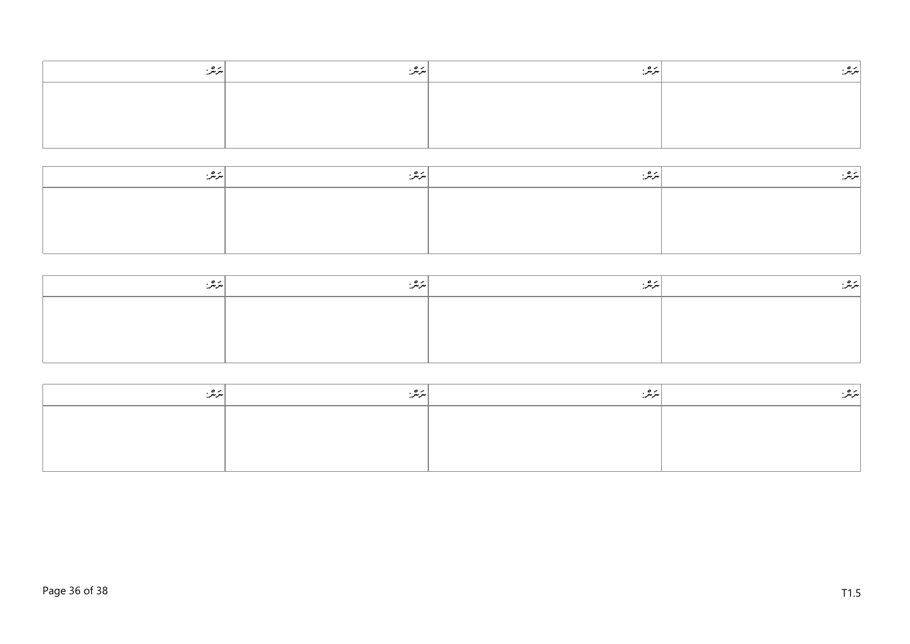| $\cdot$ | ο. | $\frac{\circ}{\cdot}$ | $\sim$<br>سرسر |
|---------|----|-----------------------|----------------|
|         |    |                       |                |
|         |    |                       |                |
|         |    |                       |                |

| ايرعر: | ر ه<br>. . |  |
|--------|------------|--|
|        |            |  |
|        |            |  |
|        |            |  |

| بر ه | 。 | $\overline{\phantom{0}}$<br>َ سومس. |  |
|------|---|-------------------------------------|--|
|      |   |                                     |  |
|      |   |                                     |  |
|      |   |                                     |  |

| 。<br>. س | ىرىىر |  |
|----------|-------|--|
|          |       |  |
|          |       |  |
|          |       |  |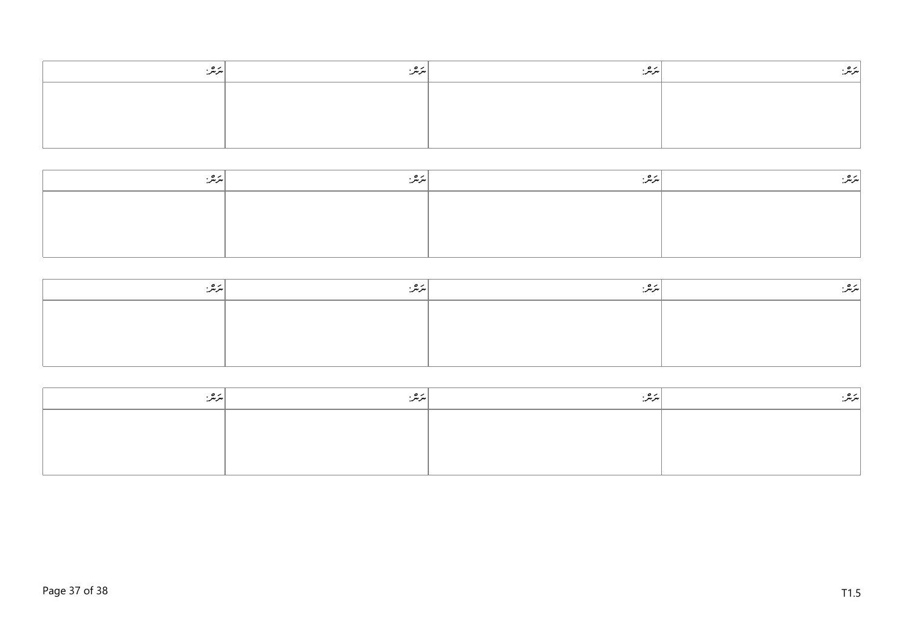| ير هو . | $\overline{\phantom{a}}$ | يرمر | لتزمثن |
|---------|--------------------------|------|--------|
|         |                          |      |        |
|         |                          |      |        |
|         |                          |      |        |

| ىر تىر: | $\circ$ $\sim$<br>" سرسر . | يبرحه | o . |
|---------|----------------------------|-------|-----|
|         |                            |       |     |
|         |                            |       |     |
|         |                            |       |     |

| الترنثر: | ' مرتكز: | الترنثر: | .,<br>سرسر. |
|----------|----------|----------|-------------|
|          |          |          |             |
|          |          |          |             |
|          |          |          |             |

|  | . ه |
|--|-----|
|  |     |
|  |     |
|  |     |